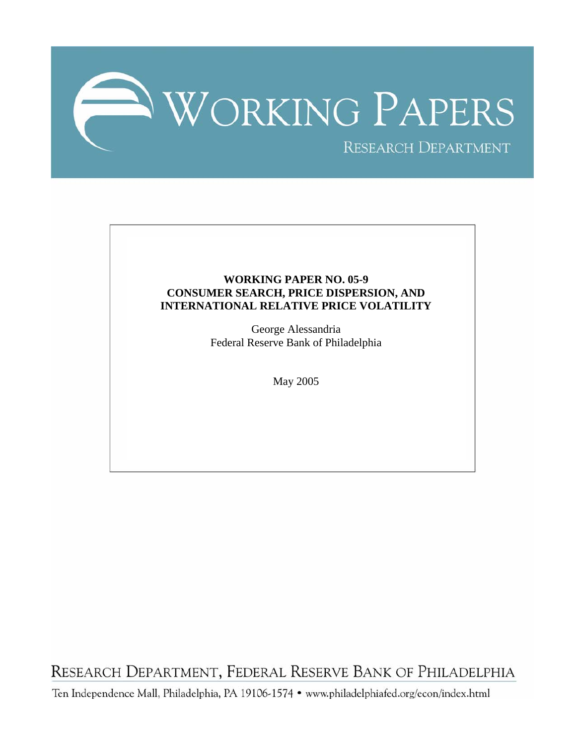

# **WORKING PAPER NO. 05-9 CONSUMER SEARCH, PRICE DISPERSION, AND INTERNATIONAL RELATIVE PRICE VOLATILITY**

George Alessandria Federal Reserve Bank of Philadelphia

May 2005

RESEARCH DEPARTMENT, FEDERAL RESERVE BANK OF PHILADELPHIA

Ten Independence Mall, Philadelphia, PA 19106-1574 · www.philadelphiafed.org/econ/index.html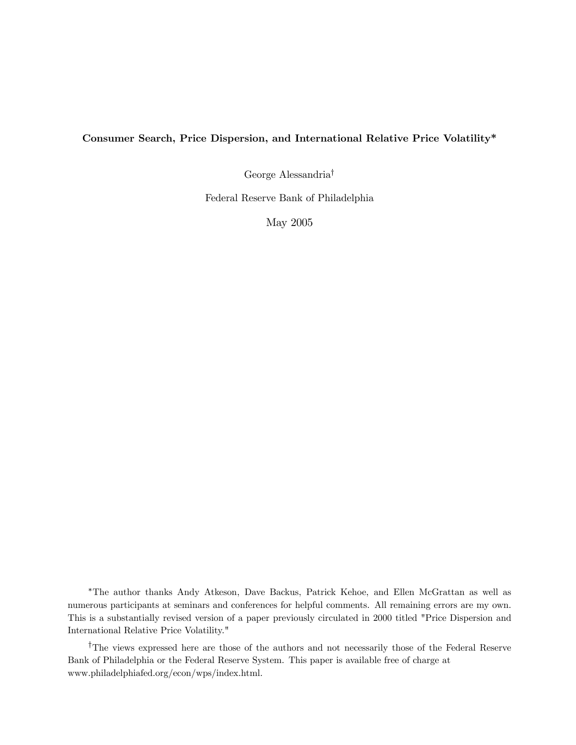# Consumer Search, Price Dispersion, and International Relative Price Volatility\*

George Alessandria†

Federal Reserve Bank of Philadelphia

May 2005

∗The author thanks Andy Atkeson, Dave Backus, Patrick Kehoe, and Ellen McGrattan as well as numerous participants at seminars and conferences for helpful comments. All remaining errors are my own. This is a substantially revised version of a paper previously circulated in 2000 titled "Price Dispersion and International Relative Price Volatility."

†The views expressed here are those of the authors and not necessarily those of the Federal Reserve Bank of Philadelphia or the Federal Reserve System. This paper is available free of charge at www.philadelphiafed.org/econ/wps/index.html.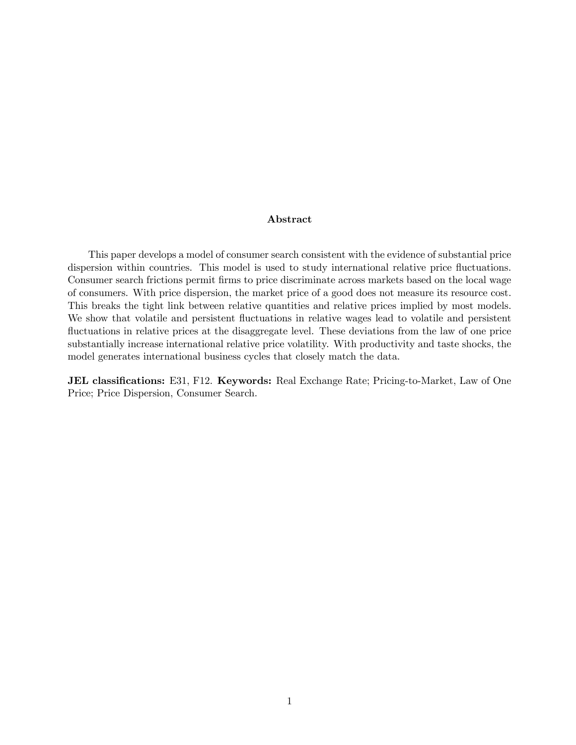# Abstract

This paper develops a model of consumer search consistent with the evidence of substantial price dispersion within countries. This model is used to study international relative price fluctuations. Consumer search frictions permit firms to price discriminate across markets based on the local wage of consumers. With price dispersion, the market price of a good does not measure its resource cost. This breaks the tight link between relative quantities and relative prices implied by most models. We show that volatile and persistent fluctuations in relative wages lead to volatile and persistent fluctuations in relative prices at the disaggregate level. These deviations from the law of one price substantially increase international relative price volatility. With productivity and taste shocks, the model generates international business cycles that closely match the data.

JEL classifications: E31, F12. Keywords: Real Exchange Rate; Pricing-to-Market, Law of One Price; Price Dispersion, Consumer Search.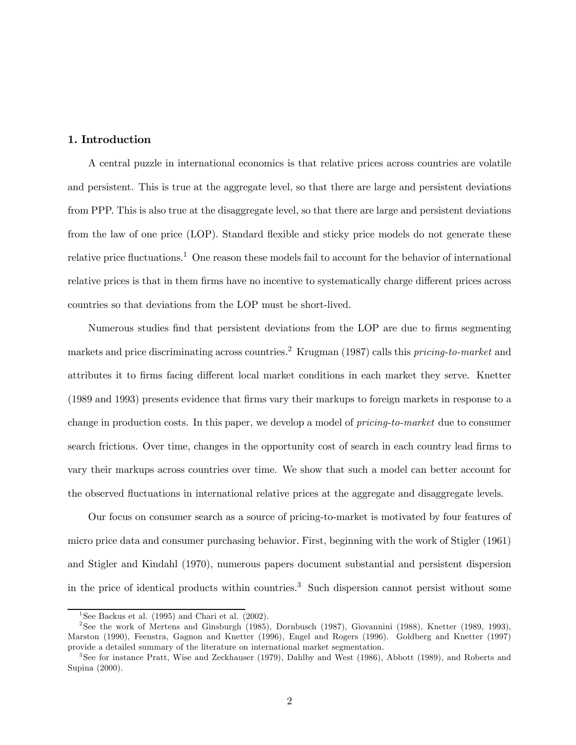# 1. Introduction

A central puzzle in international economics is that relative prices across countries are volatile and persistent. This is true at the aggregate level, so that there are large and persistent deviations from PPP. This is also true at the disaggregate level, so that there are large and persistent deviations from the law of one price (LOP). Standard flexible and sticky price models do not generate these relative price fluctuations.<sup>1</sup> One reason these models fail to account for the behavior of international relative prices is that in them firms have no incentive to systematically charge different prices across countries so that deviations from the LOP must be short-lived.

Numerous studies find that persistent deviations from the LOP are due to firms segmenting markets and price discriminating across countries.<sup>2</sup> Krugman (1987) calls this pricing-to-market and attributes it to firms facing different local market conditions in each market they serve. Knetter (1989 and 1993) presents evidence that firms vary their markups to foreign markets in response to a change in production costs. In this paper, we develop a model of pricing-to-market due to consumer search frictions. Over time, changes in the opportunity cost of search in each country lead firms to vary their markups across countries over time. We show that such a model can better account for the observed fluctuations in international relative prices at the aggregate and disaggregate levels.

Our focus on consumer search as a source of pricing-to-market is motivated by four features of micro price data and consumer purchasing behavior. First, beginning with the work of Stigler (1961) and Stigler and Kindahl (1970), numerous papers document substantial and persistent dispersion in the price of identical products within countries.3 Such dispersion cannot persist without some

<sup>&</sup>lt;sup>1</sup>See Backus et al. (1995) and Chari et al. (2002).

<sup>2</sup>See the work of Mertens and Ginsburgh (1985), Dornbusch (1987), Giovannini (1988), Knetter (1989, 1993), Marston (1990), Feenstra, Gagnon and Knetter (1996), Engel and Rogers (1996). Goldberg and Knetter (1997) provide a detailed summary of the literature on international market segmentation.

<sup>3</sup>See for instance Pratt, Wise and Zeckhauser (1979), Dahlby and West (1986), Abbott (1989), and Roberts and Supina (2000).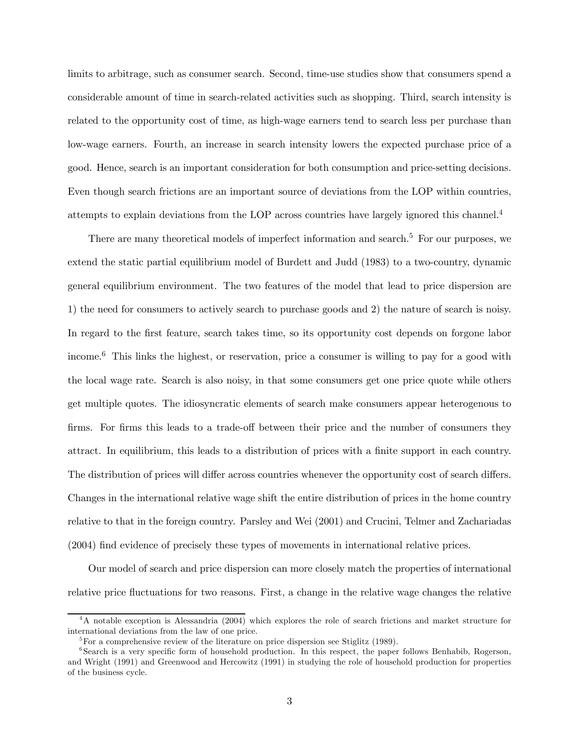limits to arbitrage, such as consumer search. Second, time-use studies show that consumers spend a considerable amount of time in search-related activities such as shopping. Third, search intensity is related to the opportunity cost of time, as high-wage earners tend to search less per purchase than low-wage earners. Fourth, an increase in search intensity lowers the expected purchase price of a good. Hence, search is an important consideration for both consumption and price-setting decisions. Even though search frictions are an important source of deviations from the LOP within countries, attempts to explain deviations from the LOP across countries have largely ignored this channel.4

There are many theoretical models of imperfect information and search.<sup>5</sup> For our purposes, we extend the static partial equilibrium model of Burdett and Judd (1983) to a two-country, dynamic general equilibrium environment. The two features of the model that lead to price dispersion are 1) the need for consumers to actively search to purchase goods and 2) the nature of search is noisy. In regard to the first feature, search takes time, so its opportunity cost depends on forgone labor income.<sup>6</sup> This links the highest, or reservation, price a consumer is willing to pay for a good with the local wage rate. Search is also noisy, in that some consumers get one price quote while others get multiple quotes. The idiosyncratic elements of search make consumers appear heterogenous to firms. For firms this leads to a trade-off between their price and the number of consumers they attract. In equilibrium, this leads to a distribution of prices with a finite support in each country. The distribution of prices will differ across countries whenever the opportunity cost of search differs. Changes in the international relative wage shift the entire distribution of prices in the home country relative to that in the foreign country. Parsley and Wei (2001) and Crucini, Telmer and Zachariadas (2004) find evidence of precisely these types of movements in international relative prices.

Our model of search and price dispersion can more closely match the properties of international relative price fluctuations for two reasons. First, a change in the relative wage changes the relative

<sup>&</sup>lt;sup>4</sup>A notable exception is Alessandria (2004) which explores the role of search frictions and market structure for international deviations from the law of one price.

 ${}^{5}$ For a comprehensive review of the literature on price dispersion see Stiglitz (1989).

<sup>&</sup>lt;sup>6</sup>Search is a very specific form of household production. In this respect, the paper follows Benhabib, Rogerson, and Wright (1991) and Greenwood and Hercowitz (1991) in studying the role of household production for properties of the business cycle.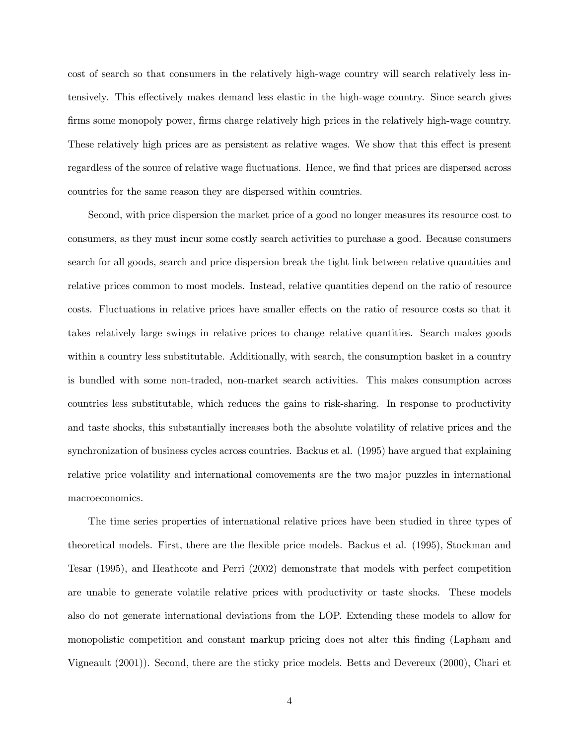cost of search so that consumers in the relatively high-wage country will search relatively less intensively. This effectively makes demand less elastic in the high-wage country. Since search gives firms some monopoly power, firms charge relatively high prices in the relatively high-wage country. These relatively high prices are as persistent as relative wages. We show that this effect is present regardless of the source of relative wage fluctuations. Hence, we find that prices are dispersed across countries for the same reason they are dispersed within countries.

Second, with price dispersion the market price of a good no longer measures its resource cost to consumers, as they must incur some costly search activities to purchase a good. Because consumers search for all goods, search and price dispersion break the tight link between relative quantities and relative prices common to most models. Instead, relative quantities depend on the ratio of resource costs. Fluctuations in relative prices have smaller effects on the ratio of resource costs so that it takes relatively large swings in relative prices to change relative quantities. Search makes goods within a country less substitutable. Additionally, with search, the consumption basket in a country is bundled with some non-traded, non-market search activities. This makes consumption across countries less substitutable, which reduces the gains to risk-sharing. In response to productivity and taste shocks, this substantially increases both the absolute volatility of relative prices and the synchronization of business cycles across countries. Backus et al. (1995) have argued that explaining relative price volatility and international comovements are the two major puzzles in international macroeconomics.

The time series properties of international relative prices have been studied in three types of theoretical models. First, there are the flexible price models. Backus et al. (1995), Stockman and Tesar (1995), and Heathcote and Perri (2002) demonstrate that models with perfect competition are unable to generate volatile relative prices with productivity or taste shocks. These models also do not generate international deviations from the LOP. Extending these models to allow for monopolistic competition and constant markup pricing does not alter this finding (Lapham and Vigneault (2001)). Second, there are the sticky price models. Betts and Devereux (2000), Chari et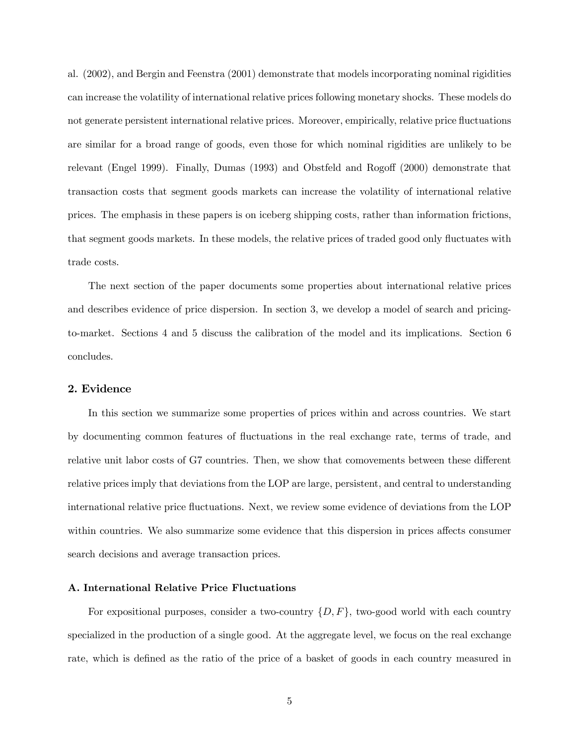al. (2002), and Bergin and Feenstra (2001) demonstrate that models incorporating nominal rigidities can increase the volatility of international relative prices following monetary shocks. These models do not generate persistent international relative prices. Moreover, empirically, relative price fluctuations are similar for a broad range of goods, even those for which nominal rigidities are unlikely to be relevant (Engel 1999). Finally, Dumas (1993) and Obstfeld and Rogoff (2000) demonstrate that transaction costs that segment goods markets can increase the volatility of international relative prices. The emphasis in these papers is on iceberg shipping costs, rather than information frictions, that segment goods markets. In these models, the relative prices of traded good only fluctuates with trade costs.

The next section of the paper documents some properties about international relative prices and describes evidence of price dispersion. In section 3, we develop a model of search and pricingto-market. Sections 4 and 5 discuss the calibration of the model and its implications. Section 6 concludes.

### 2. Evidence

In this section we summarize some properties of prices within and across countries. We start by documenting common features of fluctuations in the real exchange rate, terms of trade, and relative unit labor costs of G7 countries. Then, we show that comovements between these different relative prices imply that deviations from the LOP are large, persistent, and central to understanding international relative price fluctuations. Next, we review some evidence of deviations from the LOP within countries. We also summarize some evidence that this dispersion in prices affects consumer search decisions and average transaction prices.

### A. International Relative Price Fluctuations

For expositional purposes, consider a two-country  $\{D, F\}$ , two-good world with each country specialized in the production of a single good. At the aggregate level, we focus on the real exchange rate, which is defined as the ratio of the price of a basket of goods in each country measured in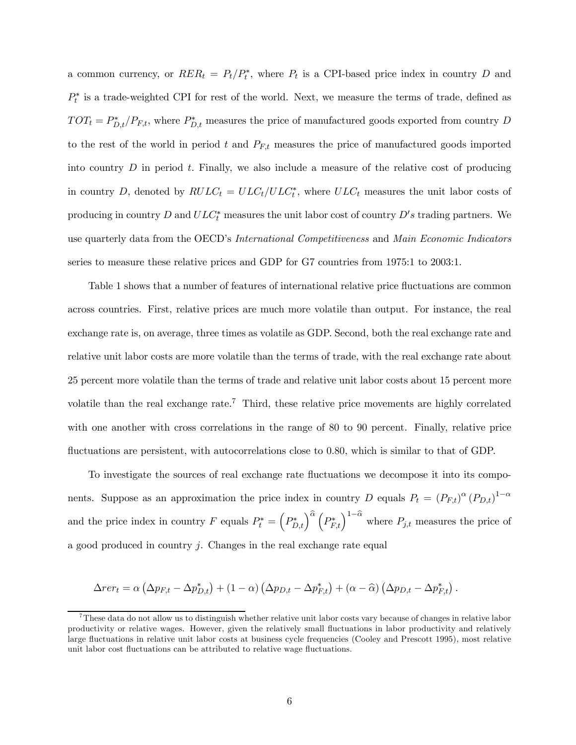a common currency, or  $RER_t = P_t/P_t^*$ , where  $P_t$  is a CPI-based price index in country D and  $P_t^*$  is a trade-weighted CPI for rest of the world. Next, we measure the terms of trade, defined as  $TOT_t = P_{D,t}^*/P_{F,t}$ , where  $P_{D,t}^*$  measures the price of manufactured goods exported from country D to the rest of the world in period t and  $P_{F,t}$  measures the price of manufactured goods imported into country  $D$  in period  $t$ . Finally, we also include a measure of the relative cost of producing in country D, denoted by  $RULC_t = ULC_t/ULC_t^*$ , where  $ULC_t$  measures the unit labor costs of producing in country D and  $ULC_t^*$  measures the unit labor cost of country  $D's$  trading partners. We use quarterly data from the OECD's International Competitiveness and Main Economic Indicators series to measure these relative prices and GDP for G7 countries from 1975:1 to 2003:1.

Table 1 shows that a number of features of international relative price fluctuations are common across countries. First, relative prices are much more volatile than output. For instance, the real exchange rate is, on average, three times as volatile as GDP. Second, both the real exchange rate and relative unit labor costs are more volatile than the terms of trade, with the real exchange rate about 25 percent more volatile than the terms of trade and relative unit labor costs about 15 percent more volatile than the real exchange rate.<sup>7</sup> Third, these relative price movements are highly correlated with one another with cross correlations in the range of 80 to 90 percent. Finally, relative price fluctuations are persistent, with autocorrelations close to 0.80, which is similar to that of GDP.

To investigate the sources of real exchange rate fluctuations we decompose it into its components. Suppose as an approximation the price index in country D equals  $P_t = (P_{F,t})^{\alpha} (P_{D,t})^{1-\alpha}$ and the price index in country F equals  $P_t^* = (P_{D,t}^*)^{\hat{\alpha}} (P_{F,t}^*)^{1-\hat{\alpha}}$  where  $P_{j,t}$  measures the price of a good produced in country j. Changes in the real exchange rate equal

$$
\Delta r e r_t = \alpha \left( \Delta p_{F,t} - \Delta p_{D,t}^* \right) + (1 - \alpha) \left( \Delta p_{D,t} - \Delta p_{F,t}^* \right) + (\alpha - \widehat{\alpha}) \left( \Delta p_{D,t} - \Delta p_{F,t}^* \right).
$$

<sup>7</sup>These data do not allow us to distinguish whether relative unit labor costs vary because of changes in relative labor productivity or relative wages. However, given the relatively small fluctuations in labor productivity and relatively large fluctuations in relative unit labor costs at business cycle frequencies (Cooley and Prescott 1995), most relative unit labor cost fluctuations can be attributed to relative wage fluctuations.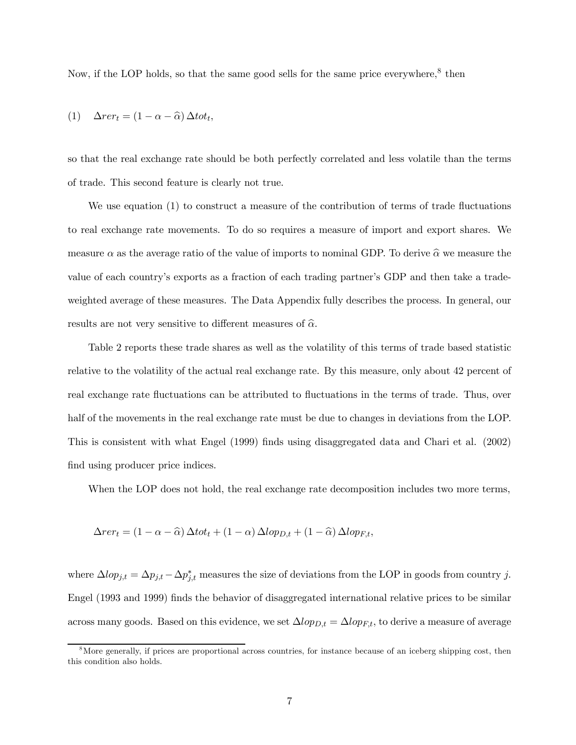Now, if the LOP holds, so that the same good sells for the same price everywhere, $8$  then

$$
(1) \quad \Delta r e r_t = (1 - \alpha - \widehat{\alpha}) \, \Delta t \, \sigma t_t,
$$

so that the real exchange rate should be both perfectly correlated and less volatile than the terms of trade. This second feature is clearly not true.

We use equation (1) to construct a measure of the contribution of terms of trade fluctuations to real exchange rate movements. To do so requires a measure of import and export shares. We measure  $\alpha$  as the average ratio of the value of imports to nominal GDP. To derive  $\hat{\alpha}$  we measure the value of each country's exports as a fraction of each trading partner's GDP and then take a tradeweighted average of these measures. The Data Appendix fully describes the process. In general, our results are not very sensitive to different measures of  $\hat{\alpha}$ .

Table 2 reports these trade shares as well as the volatility of this terms of trade based statistic relative to the volatility of the actual real exchange rate. By this measure, only about 42 percent of real exchange rate fluctuations can be attributed to fluctuations in the terms of trade. Thus, over half of the movements in the real exchange rate must be due to changes in deviations from the LOP. This is consistent with what Engel (1999) finds using disaggregated data and Chari et al. (2002) find using producer price indices.

When the LOP does not hold, the real exchange rate decomposition includes two more terms,

$$
\Delta r e r_t = (1 - \alpha - \widehat{\alpha}) \, \Delta t \, \sigma t_t + (1 - \alpha) \, \Delta l \, \sigma p_{D,t} + (1 - \widehat{\alpha}) \, \Delta l \, \sigma p_{F,t},
$$

where  $\Delta l \text{op}_{j,t} = \Delta p_{j,t} - \Delta p_{j,t}^*$  measures the size of deviations from the LOP in goods from country j. Engel (1993 and 1999) finds the behavior of disaggregated international relative prices to be similar across many goods. Based on this evidence, we set  $\Delta lop_{D,t} = \Delta lop_{F,t}$ , to derive a measure of average

 $8\text{More generally, if prices are proportional across countries, for instance because of an iceberg shipping cost, then }$ this condition also holds.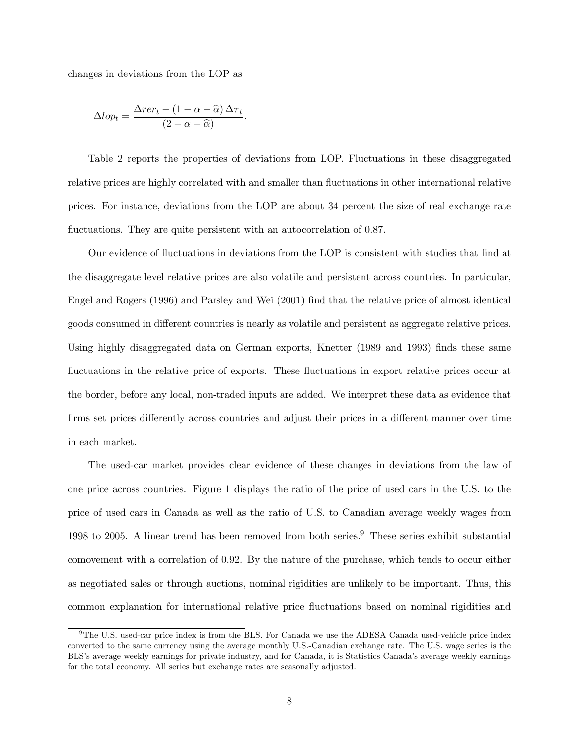changes in deviations from the LOP as

$$
\Delta lop_t = \frac{\Delta r e r_t - (1 - \alpha - \widehat{\alpha}) \Delta \tau_t}{(2 - \alpha - \widehat{\alpha})}.
$$

Table 2 reports the properties of deviations from LOP. Fluctuations in these disaggregated relative prices are highly correlated with and smaller than fluctuations in other international relative prices. For instance, deviations from the LOP are about 34 percent the size of real exchange rate fluctuations. They are quite persistent with an autocorrelation of 0.87.

Our evidence of fluctuations in deviations from the LOP is consistent with studies that find at the disaggregate level relative prices are also volatile and persistent across countries. In particular, Engel and Rogers (1996) and Parsley and Wei (2001) find that the relative price of almost identical goods consumed in different countries is nearly as volatile and persistent as aggregate relative prices. Using highly disaggregated data on German exports, Knetter (1989 and 1993) finds these same fluctuations in the relative price of exports. These fluctuations in export relative prices occur at the border, before any local, non-traded inputs are added. We interpret these data as evidence that firms set prices differently across countries and adjust their prices in a different manner over time in each market.

The used-car market provides clear evidence of these changes in deviations from the law of one price across countries. Figure 1 displays the ratio of the price of used cars in the U.S. to the price of used cars in Canada as well as the ratio of U.S. to Canadian average weekly wages from 1998 to 2005. A linear trend has been removed from both series.<sup>9</sup> These series exhibit substantial comovement with a correlation of 0.92. By the nature of the purchase, which tends to occur either as negotiated sales or through auctions, nominal rigidities are unlikely to be important. Thus, this common explanation for international relative price fluctuations based on nominal rigidities and

<sup>&</sup>lt;sup>9</sup>The U.S. used-car price index is from the BLS. For Canada we use the ADESA Canada used-vehicle price index converted to the same currency using the average monthly U.S.-Canadian exchange rate. The U.S. wage series is the BLS's average weekly earnings for private industry, and for Canada, it is Statistics Canada's average weekly earnings for the total economy. All series but exchange rates are seasonally adjusted.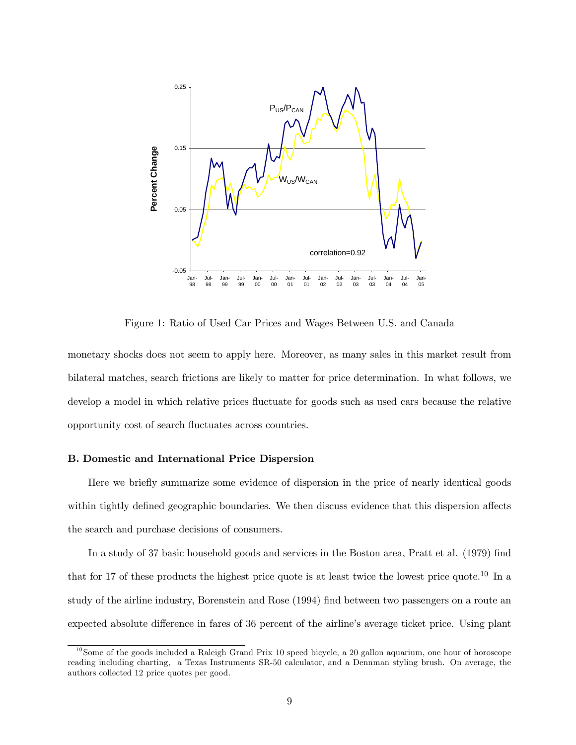

Figure 1: Ratio of Used Car Prices and Wages Between U.S. and Canada

monetary shocks does not seem to apply here. Moreover, as many sales in this market result from bilateral matches, search frictions are likely to matter for price determination. In what follows, we develop a model in which relative prices fluctuate for goods such as used cars because the relative opportunity cost of search fluctuates across countries.

#### B. Domestic and International Price Dispersion

Here we briefly summarize some evidence of dispersion in the price of nearly identical goods within tightly defined geographic boundaries. We then discuss evidence that this dispersion affects the search and purchase decisions of consumers.

In a study of 37 basic household goods and services in the Boston area, Pratt et al. (1979) find that for 17 of these products the highest price quote is at least twice the lowest price quote.10 In a study of the airline industry, Borenstein and Rose (1994) find between two passengers on a route an expected absolute difference in fares of 36 percent of the airline's average ticket price. Using plant

 $10$ Some of the goods included a Raleigh Grand Prix 10 speed bicycle, a 20 gallon aquarium, one hour of horoscope reading including charting, a Texas Instruments SR-50 calculator, and a Dennman styling brush. On average, the authors collected 12 price quotes per good.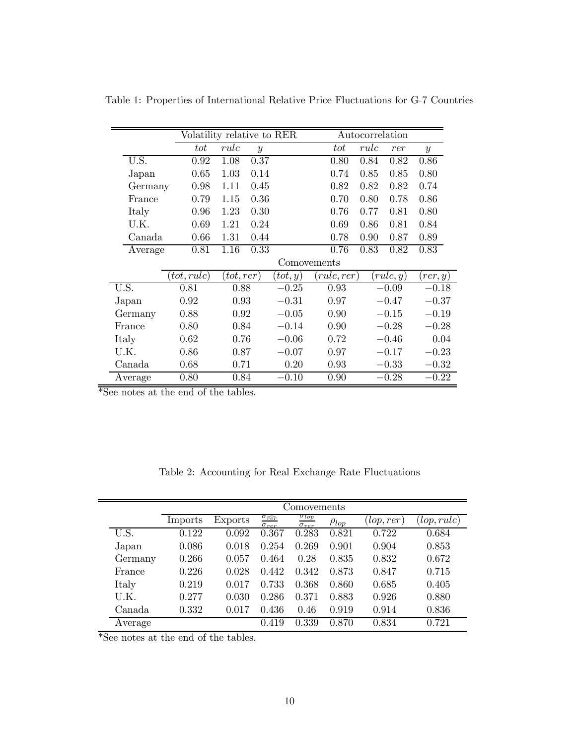|                    |             | Volatility relative to RER |                  |          |             | Autocorrelation |          |               |  |
|--------------------|-------------|----------------------------|------------------|----------|-------------|-----------------|----------|---------------|--|
|                    | tot         | rule                       | $\boldsymbol{y}$ |          | $_{tot}$    | rule            | rer      | $\mathcal{Y}$ |  |
| U.S.               | 0.92        | 1.08                       | 0.37             |          | 0.80        | 0.84            | 0.82     | 0.86          |  |
| Japan              | 0.65        | 1.03                       | 0.14             |          | 0.74        | 0.85            | 0.85     | 0.80          |  |
| Germany            | 0.98        | 1.11                       | 0.45             |          | 0.82        | 0.82            | 0.82     | 0.74          |  |
| France             | 0.79        | 1.15                       | 0.36             |          | 0.70        | 0.80            | 0.78     | 0.86          |  |
| Italy              | 0.96        | 1.23                       | 0.30             |          | 0.76        | 0.77            | 0.81     | 0.80          |  |
| U.K.               | 0.69        | 1.21                       | 0.24             |          | 0.69        | 0.86            | 0.81     | 0.84          |  |
| Canada             | 0.66        | 1.31                       | 0.44             |          | 0.78        | 0.90            | 0.87     | 0.89          |  |
| Average            | 0.81        | 1.16                       | 0.33             |          | 0.76        | 0.83            | 0.82     | 0.83          |  |
|                    |             |                            |                  |          | Comovements |                 |          |               |  |
|                    | (tot, rule) | (tot,rer)                  |                  | (tot, y) | (rulc,rer)  |                 | rule, y) | (rer, y)      |  |
| $U.\overline{S}$ . | 0.81        | 0.88                       |                  | $-0.25$  | 0.93        |                 | $-0.09$  | $-0.18$       |  |
| Japan              | 0.92        | 0.93                       |                  | $-0.31$  | 0.97        |                 | $-0.47$  | $-0.37$       |  |
| Germany            | 0.88        | 0.92                       |                  | $-0.05$  | 0.90        |                 | $-0.15$  | $-0.19$       |  |
| France             | 0.80        | 0.84                       |                  | $-0.14$  | 0.90        |                 | $-0.28$  | $-0.28$       |  |
| Italy              | 0.62        | 0.76                       |                  | $-0.06$  | 0.72        |                 | $-0.46$  | 0.04          |  |
| U.K.               | 0.86        | 0.87                       |                  | $-0.07$  | 0.97        |                 | $-0.17$  | $-0.23$       |  |
| Canada             | 0.68        | 0.71                       |                  | 0.20     | 0.93        |                 | $-0.33$  | $-0.32$       |  |
| Average            | 0.80        | 0.84                       |                  | $-0.10$  | 0.90        |                 | $-0.28$  | $-0.22$       |  |

Table 1: Properties of International Relative Price Fluctuations for G-7 Countries

\*See notes at the end of the tables.

|  |  |  |  |  | Table 2: Accounting for Real Exchange Rate Fluctuations |
|--|--|--|--|--|---------------------------------------------------------|
|--|--|--|--|--|---------------------------------------------------------|

|         | Comovements |         |                                                   |                                         |              |           |             |  |
|---------|-------------|---------|---------------------------------------------------|-----------------------------------------|--------------|-----------|-------------|--|
|         | Imports     | Exports | $\sigma_{\widehat{rer}}$<br>$\sigma_{\text{ref}}$ | $\sigma_{lop}$<br>$\sigma_{\text{ref}}$ | $\rho_{lop}$ | lop, rer) | (lop, rule) |  |
| U.S.    | 0.122       | 0.092   | 0.367                                             | 0.283                                   | 0.821        | 0.722     | 0.684       |  |
| Japan   | 0.086       | 0.018   | 0.254                                             | 0.269                                   | 0.901        | 0.904     | 0.853       |  |
| Germany | 0.266       | 0.057   | 0.464                                             | 0.28                                    | 0.835        | 0.832     | 0.672       |  |
| France  | 0.226       | 0.028   | 0.442                                             | 0.342                                   | 0.873        | 0.847     | 0.715       |  |
| Italy   | 0.219       | 0.017   | 0.733                                             | 0.368                                   | 0.860        | 0.685     | 0.405       |  |
| U.K.    | 0.277       | 0.030   | 0.286                                             | 0.371                                   | 0.883        | 0.926     | 0.880       |  |
| Canada  | 0.332       | 0.017   | 0.436                                             | 0.46                                    | 0.919        | 0.914     | 0.836       |  |
| Average |             |         | 0.419                                             | 0.339                                   | 0.870        | 0.834     | 0.721       |  |

\*See notes at the end of the tables.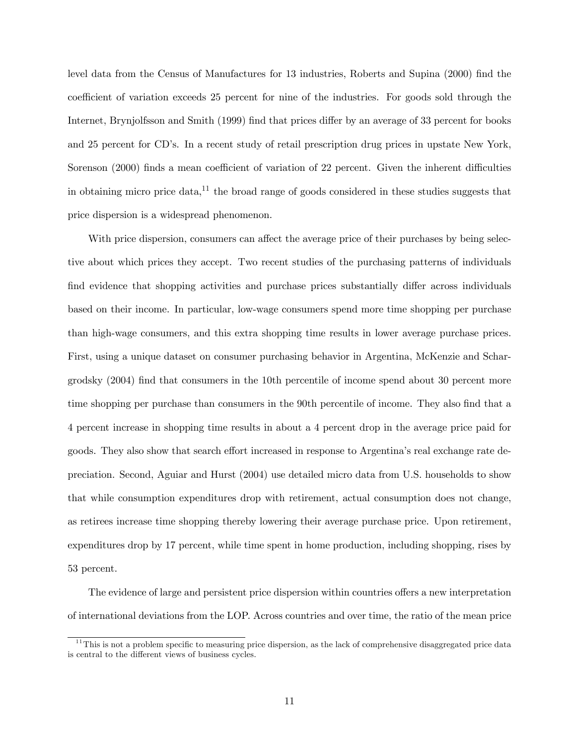level data from the Census of Manufactures for 13 industries, Roberts and Supina (2000) find the coefficient of variation exceeds 25 percent for nine of the industries. For goods sold through the Internet, Brynjolfsson and Smith (1999) find that prices differ by an average of 33 percent for books and 25 percent for CD's. In a recent study of retail prescription drug prices in upstate New York, Sorenson (2000) finds a mean coefficient of variation of 22 percent. Given the inherent difficulties in obtaining micro price data,<sup>11</sup> the broad range of goods considered in these studies suggests that price dispersion is a widespread phenomenon.

With price dispersion, consumers can affect the average price of their purchases by being selective about which prices they accept. Two recent studies of the purchasing patterns of individuals find evidence that shopping activities and purchase prices substantially differ across individuals based on their income. In particular, low-wage consumers spend more time shopping per purchase than high-wage consumers, and this extra shopping time results in lower average purchase prices. First, using a unique dataset on consumer purchasing behavior in Argentina, McKenzie and Schargrodsky (2004) find that consumers in the 10th percentile of income spend about 30 percent more time shopping per purchase than consumers in the 90th percentile of income. They also find that a 4 percent increase in shopping time results in about a 4 percent drop in the average price paid for goods. They also show that search effort increased in response to Argentina's real exchange rate depreciation. Second, Aguiar and Hurst (2004) use detailed micro data from U.S. households to show that while consumption expenditures drop with retirement, actual consumption does not change, as retirees increase time shopping thereby lowering their average purchase price. Upon retirement, expenditures drop by 17 percent, while time spent in home production, including shopping, rises by 53 percent.

The evidence of large and persistent price dispersion within countries offers a new interpretation of international deviations from the LOP. Across countries and over time, the ratio of the mean price

 $11$ This is not a problem specific to measuring price dispersion, as the lack of comprehensive disaggregated price data is central to the different views of business cycles.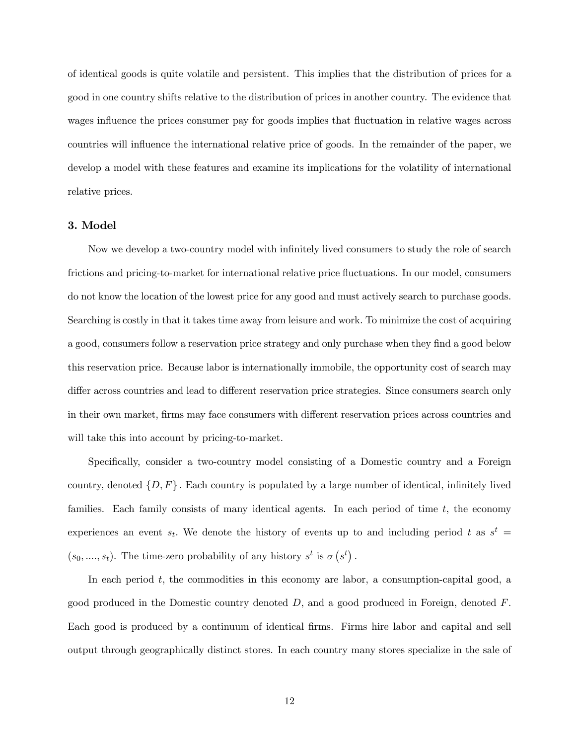of identical goods is quite volatile and persistent. This implies that the distribution of prices for a good in one country shifts relative to the distribution of prices in another country. The evidence that wages influence the prices consumer pay for goods implies that fluctuation in relative wages across countries will influence the international relative price of goods. In the remainder of the paper, we develop a model with these features and examine its implications for the volatility of international relative prices.

#### 3. Model

Now we develop a two-country model with infinitely lived consumers to study the role of search frictions and pricing-to-market for international relative price fluctuations. In our model, consumers do not know the location of the lowest price for any good and must actively search to purchase goods. Searching is costly in that it takes time away from leisure and work. To minimize the cost of acquiring a good, consumers follow a reservation price strategy and only purchase when they find a good below this reservation price. Because labor is internationally immobile, the opportunity cost of search may differ across countries and lead to different reservation price strategies. Since consumers search only in their own market, firms may face consumers with different reservation prices across countries and will take this into account by pricing-to-market.

Specifically, consider a two-country model consisting of a Domestic country and a Foreign country, denoted  $\{D, F\}$ . Each country is populated by a large number of identical, infinitely lived families. Each family consists of many identical agents. In each period of time  $t$ , the economy experiences an event  $s_t$ . We denote the history of events up to and including period t as  $s^t$  $(s_0, ..., s_t)$ . The time-zero probability of any history  $s^t$  is  $\sigma(s^t)$ .

In each period  $t$ , the commodities in this economy are labor, a consumption-capital good, a good produced in the Domestic country denoted  $D$ , and a good produced in Foreign, denoted  $F$ . Each good is produced by a continuum of identical firms. Firms hire labor and capital and sell output through geographically distinct stores. In each country many stores specialize in the sale of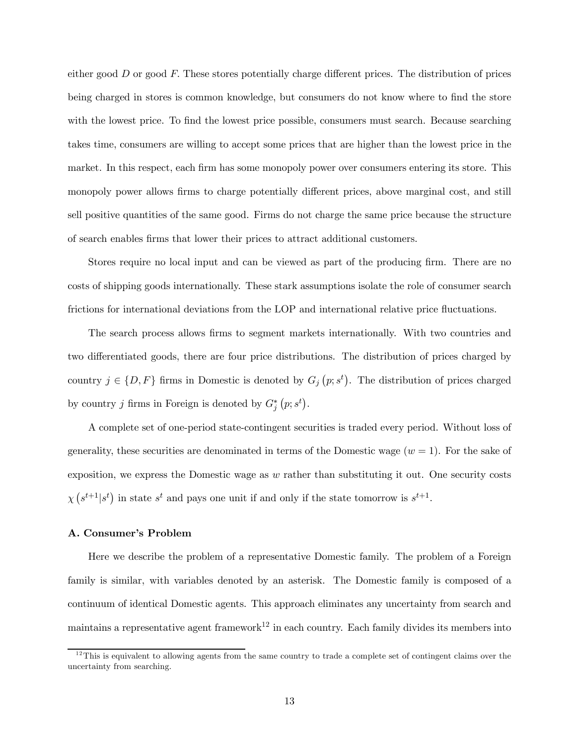either good  $D$  or good  $F$ . These stores potentially charge different prices. The distribution of prices being charged in stores is common knowledge, but consumers do not know where to find the store with the lowest price. To find the lowest price possible, consumers must search. Because searching takes time, consumers are willing to accept some prices that are higher than the lowest price in the market. In this respect, each firm has some monopoly power over consumers entering its store. This monopoly power allows firms to charge potentially different prices, above marginal cost, and still sell positive quantities of the same good. Firms do not charge the same price because the structure of search enables firms that lower their prices to attract additional customers.

Stores require no local input and can be viewed as part of the producing firm. There are no costs of shipping goods internationally. These stark assumptions isolate the role of consumer search frictions for international deviations from the LOP and international relative price fluctuations.

The search process allows firms to segment markets internationally. With two countries and two differentiated goods, there are four price distributions. The distribution of prices charged by country  $j \in \{D, F\}$  firms in Domestic is denoted by  $G_j(p; s^t)$ . The distribution of prices charged by country j firms in Foreign is denoted by  $G_j^*(p; s^t)$ .

A complete set of one-period state-contingent securities is traded every period. Without loss of generality, these securities are denominated in terms of the Domestic wage  $(w = 1)$ . For the sake of exposition, we express the Domestic wage as  $w$  rather than substituting it out. One security costs  $\chi\left(s^{t+1}|s^t\right)$  in state  $s^t$  and pays one unit if and only if the state tomorrow is  $s^{t+1}$ .

#### A. Consumer's Problem

Here we describe the problem of a representative Domestic family. The problem of a Foreign family is similar, with variables denoted by an asterisk. The Domestic family is composed of a continuum of identical Domestic agents. This approach eliminates any uncertainty from search and maintains a representative agent framework<sup>12</sup> in each country. Each family divides its members into

 $12$ This is equivalent to allowing agents from the same country to trade a complete set of contingent claims over the uncertainty from searching.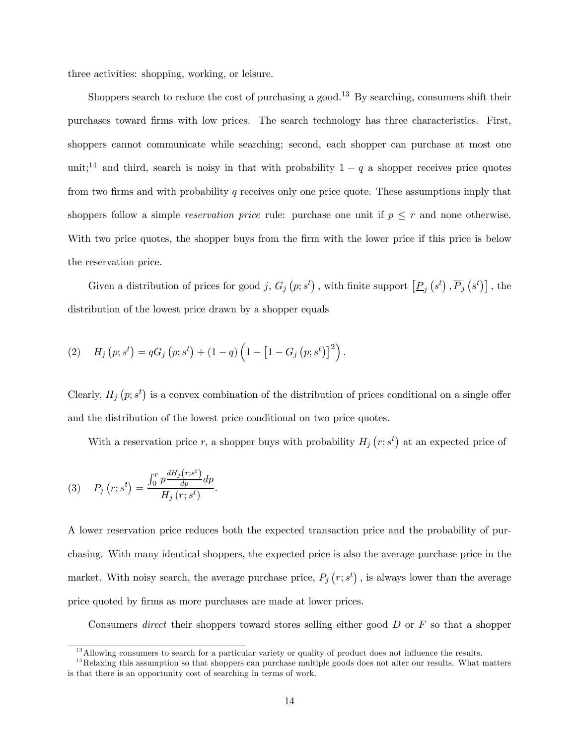three activities: shopping, working, or leisure.

Shoppers search to reduce the cost of purchasing a good.<sup>13</sup> By searching, consumers shift their purchases toward firms with low prices. The search technology has three characteristics. First, shoppers cannot communicate while searching; second, each shopper can purchase at most one unit;<sup>14</sup> and third, search is noisy in that with probability  $1 - q$  a shopper receives price quotes from two firms and with probability q receives only one price quote. These assumptions imply that shoppers follow a simple *reservation price* rule: purchase one unit if  $p \leq r$  and none otherwise. With two price quotes, the shopper buys from the firm with the lower price if this price is below the reservation price.

Given a distribution of prices for good j,  $G_j(p; s^t)$ , with finite support  $[\underline{P}_j(s^t), \overline{P}_j(s^t)]$ , the distribution of the lowest price drawn by a shopper equals

(2) 
$$
H_j(p; s^t) = qG_j(p; s^t) + (1-q)\left(1 - [1 - G_j(p; s^t)]^2\right).
$$

Clearly,  $H_j(p; s^t)$  is a convex combination of the distribution of prices conditional on a single offer and the distribution of the lowest price conditional on two price quotes.

With a reservation price r, a shopper buys with probability  $H_j(r; s^t)$  at an expected price of

(3) 
$$
P_j(r;s^t) = \frac{\int_0^r p \frac{dH_j(r;s^t)}{dp} dp}{H_j(r;s^t)}.
$$

A lower reservation price reduces both the expected transaction price and the probability of purchasing. With many identical shoppers, the expected price is also the average purchase price in the market. With noisy search, the average purchase price,  $P_j(r; s^t)$ , is always lower than the average price quoted by firms as more purchases are made at lower prices.

Consumers direct their shoppers toward stores selling either good  $D$  or  $F$  so that a shopper

<sup>&</sup>lt;sup>13</sup> Allowing consumers to search for a particular variety or quality of product does not influence the results.

 $14$ Relaxing this assumption so that shoppers can purchase multiple goods does not alter our results. What matters is that there is an opportunity cost of searching in terms of work.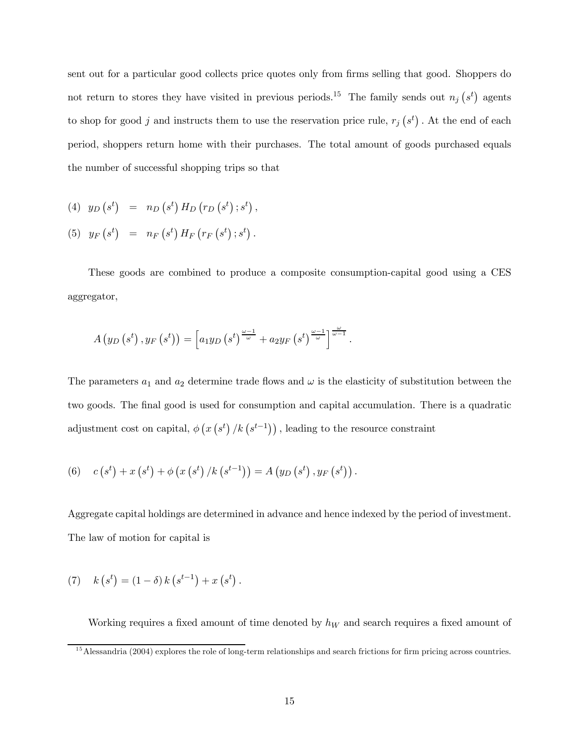sent out for a particular good collects price quotes only from firms selling that good. Shoppers do not return to stores they have visited in previous periods.<sup>15</sup> The family sends out  $n_j$  (s<sup>t</sup>) agents to shop for good j and instructs them to use the reservation price rule,  $r_j(s^t)$ . At the end of each period, shoppers return home with their purchases. The total amount of goods purchased equals the number of successful shopping trips so that

$$
(4) \quad y_D\left(s^t\right) = n_D\left(s^t\right)H_D\left(r_D\left(s^t\right);s^t\right),
$$

$$
(5) \quad y_F\left(s^t\right) \;\; = \;\; n_F\left(s^t\right) H_F\left(r_F\left(s^t\right);s^t\right).
$$

These goods are combined to produce a composite consumption-capital good using a CES aggregator,

$$
A\left(y_D\left(s^t\right), y_F\left(s^t\right)\right) = \left[a_1y_D\left(s^t\right)^{\frac{\omega-1}{\omega}} + a_2y_F\left(s^t\right)^{\frac{\omega-1}{\omega}}\right]^{\frac{\omega}{\omega-1}}.
$$

The parameters  $a_1$  and  $a_2$  determine trade flows and  $\omega$  is the elasticity of substitution between the two goods. The final good is used for consumption and capital accumulation. There is a quadratic adjustment cost on capital,  $\phi\left(x\left(s^{t}\right)/k\left(s^{t-1}\right)\right)$ , leading to the resource constraint

(6) 
$$
c(s^t) + x(s^t) + \phi(x(s^t)/k(s^{t-1})) = A(y_D(s^t), y_F(s^t)).
$$

Aggregate capital holdings are determined in advance and hence indexed by the period of investment. The law of motion for capital is

(7) 
$$
k(s^t) = (1 - \delta) k(s^{t-1}) + x(s^t).
$$

Working requires a fixed amount of time denoted by  $h_W$  and search requires a fixed amount of

 $15$  Alessandria (2004) explores the role of long-term relationships and search frictions for firm pricing across countries.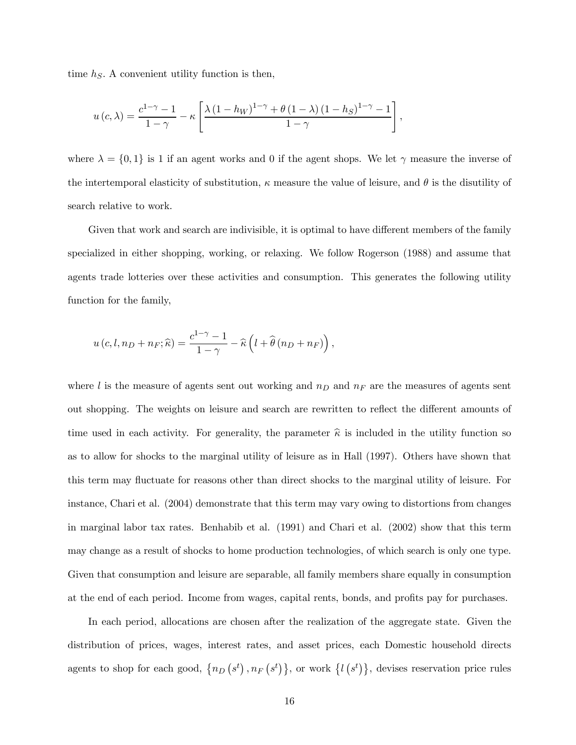time  $h<sub>S</sub>$ . A convenient utility function is then,

$$
u(c,\lambda) = \frac{c^{1-\gamma}-1}{1-\gamma} - \kappa \left[ \frac{\lambda (1-h_W)^{1-\gamma} + \theta (1-\lambda) (1-h_S)^{1-\gamma} - 1}{1-\gamma} \right],
$$

where  $\lambda = \{0, 1\}$  is 1 if an agent works and 0 if the agent shops. We let  $\gamma$  measure the inverse of the intertemporal elasticity of substitution,  $\kappa$  measure the value of leisure, and  $\theta$  is the disutility of search relative to work.

Given that work and search are indivisible, it is optimal to have different members of the family specialized in either shopping, working, or relaxing. We follow Rogerson (1988) and assume that agents trade lotteries over these activities and consumption. This generates the following utility function for the family,

$$
u(c, l, n_D + n_F; \widehat{\kappa}) = \frac{c^{1-\gamma} - 1}{1 - \gamma} - \widehat{\kappa} \left( l + \widehat{\theta} (n_D + n_F) \right),
$$

where  $l$  is the measure of agents sent out working and  $n_D$  and  $n_F$  are the measures of agents sent out shopping. The weights on leisure and search are rewritten to reflect the different amounts of time used in each activity. For generality, the parameter  $\hat{\kappa}$  is included in the utility function so as to allow for shocks to the marginal utility of leisure as in Hall (1997). Others have shown that this term may fluctuate for reasons other than direct shocks to the marginal utility of leisure. For instance, Chari et al. (2004) demonstrate that this term may vary owing to distortions from changes in marginal labor tax rates. Benhabib et al. (1991) and Chari et al. (2002) show that this term may change as a result of shocks to home production technologies, of which search is only one type. Given that consumption and leisure are separable, all family members share equally in consumption at the end of each period. Income from wages, capital rents, bonds, and profits pay for purchases.

In each period, allocations are chosen after the realization of the aggregate state. Given the distribution of prices, wages, interest rates, and asset prices, each Domestic household directs agents to shop for each good,  $\{n_D(s^t), n_F(s^t)\}\$ , or work  $\{l(s^t)\}\$ , devises reservation price rules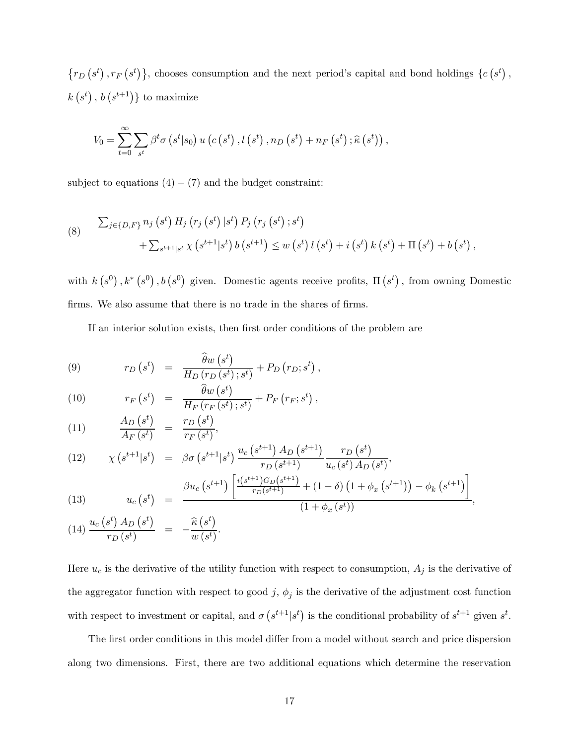${r_D(s^t), r_F(s^t)}$ , chooses consumption and the next period's capital and bond holdings  ${c(s^t), r_F(s^t)}$  $k(s^t), b(s^{t+1})\}$  to maximize

$$
V_0 = \sum_{t=0}^{\infty} \sum_{s^t} \beta^t \sigma\left(s^t | s_0\right) u\left(c\left(s^t\right), l\left(s^t\right), n_D\left(s^t\right) + n_F\left(s^t\right); \widehat{\kappa}\left(s^t\right)\right),
$$

subject to equations  $(4) - (7)$  and the budget constraint:

(8) 
$$
\sum_{j \in \{D, F\}} n_j (s^t) H_j (r_j (s^t) | s^t) P_j (r_j (s^t) ; s^t) + \sum_{s^{t+1} | s^t} \chi (s^{t+1} | s^t) b (s^{t+1}) \leq w (s^t) l (s^t) + i (s^t) k (s^t) + \Pi (s^t) + b (s^t),
$$

with  $k(s^0), k^*(s^0), b(s^0)$  given. Domestic agents receive profits,  $\Pi(s^t)$ , from owning Domestic firms. We also assume that there is no trade in the shares of firms.

If an interior solution exists, then first order conditions of the problem are

(9) 
$$
r_D(s^t) = \frac{\widehat{\theta}w(s^t)}{H_D(r_D(s^t);s^t)} + P_D(r_D;s^t),
$$

(10) 
$$
r_F(s^t) = \frac{\widehat{\theta}w(s^t)}{H_F(r_F(s^t);s^t)} + P_F(r_F;s^t),
$$

(11) 
$$
\frac{A_D(s^t)}{A_F(s^t)} = \frac{r_D(s^t)}{r_F(s^t)},
$$

(12) 
$$
\chi\left(s^{t+1}|s^t\right) = \beta \sigma\left(s^{t+1}|s^t\right) \frac{u_c\left(s^{t+1}\right) A_D\left(s^{t+1}\right)}{r_D\left(s^{t+1}\right)} \frac{r_D\left(s^t\right)}{u_c\left(s^t\right) A_D\left(s^t\right)},
$$
\n
$$
\beta \chi\left(s^{t+1}\right) \left[\frac{i(s^{t+1}) G_D\left(s^{t+1}\right)}{u_c\left(s^t\right)} + \frac{1}{2} \frac{1}{2} \frac{1}{2} \frac{1}{2} \left(\frac{1}{2} + \frac{1}{2} \frac{1}{2} \left(\frac{1}{2} + \frac{1}{2} + \frac{1}{2} \frac{1}{2} + \frac{1}{2} \frac{1}{2} + \frac{1}{2} \frac{1}{2} + \frac{1}{2} \frac{1}{2} + \frac{1}{2} \frac{1}{2} + \frac{1}{2} \frac{1}{2} + \frac{1}{2} \frac{1}{2} + \frac{1}{2} \frac{1}{2} + \frac{1}{2} \frac{1}{2} + \frac{1}{2} \frac{1}{2} + \frac{1}{2} \frac{1}{2} + \frac{1}{2} \frac{1}{2} + \frac{1}{2} \frac{1}{2} + \frac{1}{2} \frac{1}{2} + \frac{1}{2} \frac{1}{2} + \frac{1}{2} \frac{1}{2} + \frac{1}{2} \frac{1}{2} + \frac{1}{2} \frac{1}{2} + \frac{1}{2} \frac{1}{2} + \frac{1}{2} \frac{1}{2} + \frac{1}{2} \frac{1}{2} + \frac{1}{2} \frac{1}{2} + \frac{1}{2} \frac{1}{2} + \frac{1}{2} \frac{1}{2} + \frac{1}{2} \frac{1}{2} + \frac{1}{2} \frac{1}{2} + \frac{1}{2} \frac{1}{2} + \frac{1}{2} \frac{1}{2} + \frac{1}{2} \frac{1}{2} + \frac{1}{2} \frac{1}{2} + \frac{1}{2} \frac{1}{2} + \frac{1}{2} \frac{1}{2} + \frac{1}{2} \frac{1}{2} + \frac{1}{2} \frac{1}{2} + \frac{1}{2} \frac
$$

(13) 
$$
u_c(s^t) = \frac{\beta u_c(s^{t+1}) \left[ \frac{i(s^{t+1}) G_D(s^{t+1})}{r_D(s^{t+1})} + (1-\delta) \left(1 + \phi_x(s^{t+1})\right) - \phi_k(s^{t+1}) \right]}{(1+\phi_x(s^t))},
$$

(14) 
$$
\frac{u_c(s^t) A_D(s^t)}{r_D(s^t)} = -\frac{\widehat{\kappa}(s^t)}{w(s^t)}.
$$

Here  $u_c$  is the derivative of the utility function with respect to consumption,  $A_j$  is the derivative of the aggregator function with respect to good j,  $\phi_j$  is the derivative of the adjustment cost function with respect to investment or capital, and  $\sigma(s^{t+1}|s^t)$  is the conditional probability of  $s^{t+1}$  given  $s^t$ .

 $\overline{1}$ 

The first order conditions in this model differ from a model without search and price dispersion along two dimensions. First, there are two additional equations which determine the reservation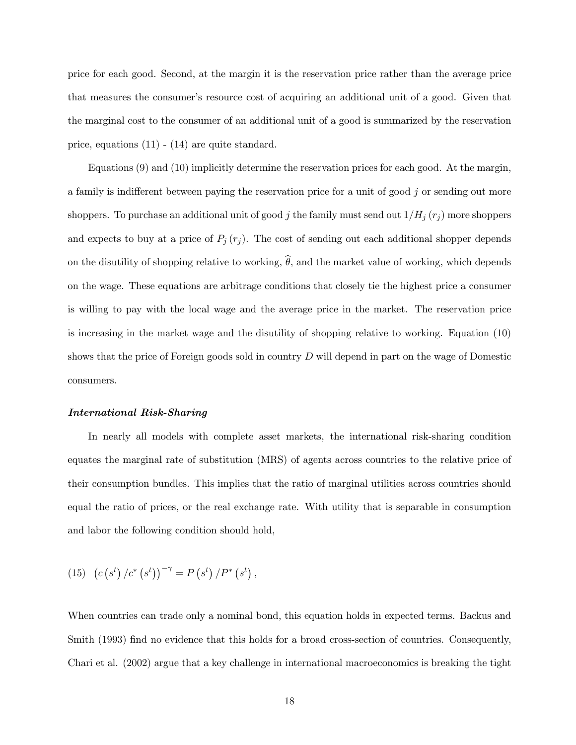price for each good. Second, at the margin it is the reservation price rather than the average price that measures the consumer's resource cost of acquiring an additional unit of a good. Given that the marginal cost to the consumer of an additional unit of a good is summarized by the reservation price, equations (11) - (14) are quite standard.

Equations (9) and (10) implicitly determine the reservation prices for each good. At the margin, a family is indifferent between paying the reservation price for a unit of good  $j$  or sending out more shoppers. To purchase an additional unit of good j the family must send out  $1/H_j(r_j)$  more shoppers and expects to buy at a price of  $P_j(r_j)$ . The cost of sending out each additional shopper depends on the disutility of shopping relative to working,  $\hat{\theta}$ , and the market value of working, which depends on the wage. These equations are arbitrage conditions that closely tie the highest price a consumer is willing to pay with the local wage and the average price in the market. The reservation price is increasing in the market wage and the disutility of shopping relative to working. Equation (10) shows that the price of Foreign goods sold in country  $D$  will depend in part on the wage of Domestic consumers.

# International Risk-Sharing

In nearly all models with complete asset markets, the international risk-sharing condition equates the marginal rate of substitution (MRS) of agents across countries to the relative price of their consumption bundles. This implies that the ratio of marginal utilities across countries should equal the ratio of prices, or the real exchange rate. With utility that is separable in consumption and labor the following condition should hold,

(15) 
$$
(c (s^t) / c^* (s^t))^{-\gamma} = P (s^t) / P^* (s^t),
$$

When countries can trade only a nominal bond, this equation holds in expected terms. Backus and Smith (1993) find no evidence that this holds for a broad cross-section of countries. Consequently, Chari et al. (2002) argue that a key challenge in international macroeconomics is breaking the tight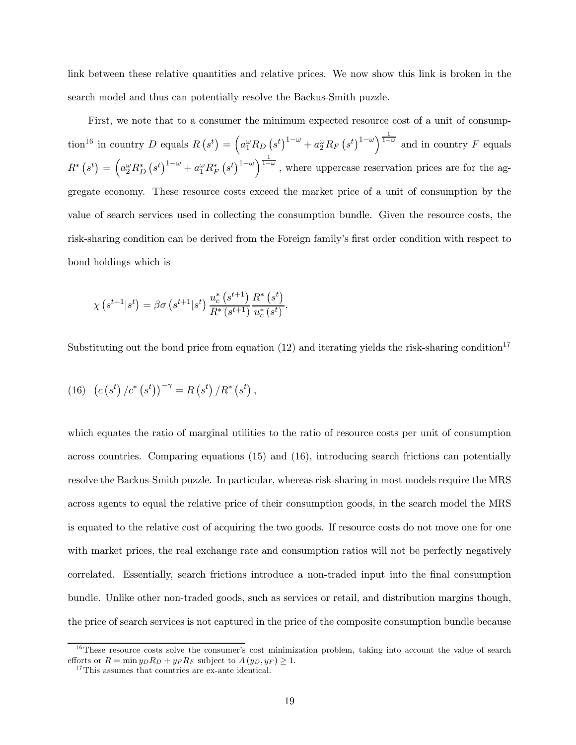link between these relative quantities and relative prices. We now show this link is broken in the search model and thus can potentially resolve the Backus-Smith puzzle.

First, we note that to a consumer the minimum expected resource cost of a unit of consumption<sup>16</sup> in country D equals  $R(s^t) = \left(a_1^{\omega} R_D(s^t)\right)^{1-\omega} + a_2^{\omega} R_F(s^t)^{1-\omega}\right)^{\frac{1}{1-\omega}}$  and in country F equals  $R^*$   $(s^t) = \left(a_2^{\omega} R_D^* (s^t)^{1-\omega} + a_1^{\omega} R_F^* (s^t)^{1-\omega}\right)^{\frac{1}{1-\omega}},$  where uppercase reservation prices are for the aggregate economy. These resource costs exceed the market price of a unit of consumption by the value of search services used in collecting the consumption bundle. Given the resource costs, the risk-sharing condition can be derived from the Foreign family's first order condition with respect to bond holdings which is

$$
\chi\left(s^{t+1}|s^{t}\right) = \beta \sigma\left(s^{t+1}|s^{t}\right) \frac{u_c^*\left(s^{t+1}\right)}{R^*\left(s^{t+1}\right)} \frac{R^*\left(s^{t}\right)}{u_c^*\left(s^{t}\right)}.
$$

Substituting out the bond price from equation (12) and iterating yields the risk-sharing condition<sup>17</sup>

(16) 
$$
(c (st) / c* (st))-γ = R (st) / R* (st),
$$

which equates the ratio of marginal utilities to the ratio of resource costs per unit of consumption across countries. Comparing equations (15) and (16), introducing search frictions can potentially resolve the Backus-Smith puzzle. In particular, whereas risk-sharing in most models require the MRS across agents to equal the relative price of their consumption goods, in the search model the MRS is equated to the relative cost of acquiring the two goods. If resource costs do not move one for one with market prices, the real exchange rate and consumption ratios will not be perfectly negatively correlated. Essentially, search frictions introduce a non-traded input into the final consumption bundle. Unlike other non-traded goods, such as services or retail, and distribution margins though, the price of search services is not captured in the price of the composite consumption bundle because

 $16$ These resource costs solve the consumer's cost minimization problem, taking into account the value of search efforts or  $R = \min y_D R_D + y_F R_F$  subject to  $A(y_D, y_F) \geq 1$ .<br><sup>17</sup>This assumes that countries are ex-ante identical.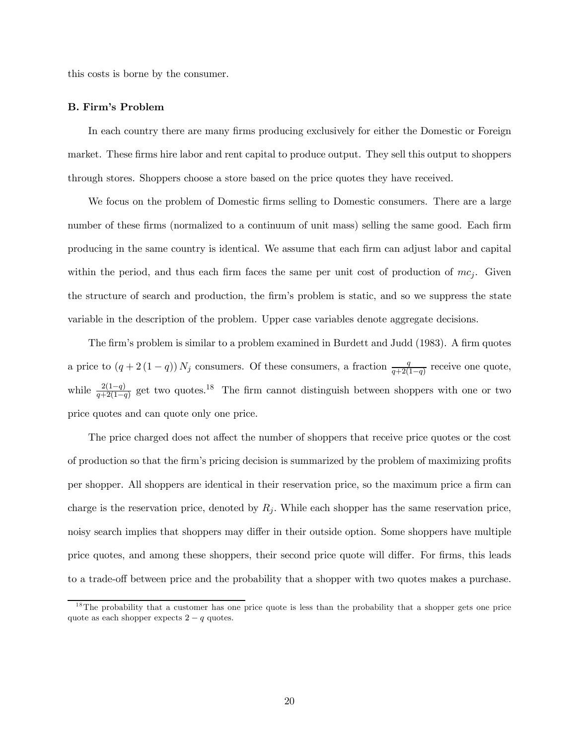this costs is borne by the consumer.

### B. Firm's Problem

In each country there are many firms producing exclusively for either the Domestic or Foreign market. These firms hire labor and rent capital to produce output. They sell this output to shoppers through stores. Shoppers choose a store based on the price quotes they have received.

We focus on the problem of Domestic firms selling to Domestic consumers. There are a large number of these firms (normalized to a continuum of unit mass) selling the same good. Each firm producing in the same country is identical. We assume that each firm can adjust labor and capital within the period, and thus each firm faces the same per unit cost of production of  $mc_j$ . Given the structure of search and production, the firm's problem is static, and so we suppress the state variable in the description of the problem. Upper case variables denote aggregate decisions.

The firm's problem is similar to a problem examined in Burdett and Judd (1983). A firm quotes a price to  $(q + 2(1 - q)) N_j$  consumers. Of these consumers, a fraction  $\frac{q}{q+2(1-q)}$  receive one quote, while  $\frac{2(1-q)}{q+2(1-q)}$  get two quotes.<sup>18</sup> The firm cannot distinguish between shoppers with one or two price quotes and can quote only one price.

The price charged does not affect the number of shoppers that receive price quotes or the cost of production so that the firm's pricing decision is summarized by the problem of maximizing profits per shopper. All shoppers are identical in their reservation price, so the maximum price a firm can charge is the reservation price, denoted by  $R_j$ . While each shopper has the same reservation price, noisy search implies that shoppers may differ in their outside option. Some shoppers have multiple price quotes, and among these shoppers, their second price quote will differ. For firms, this leads to a trade-off between price and the probability that a shopper with two quotes makes a purchase.

 $18$ The probability that a customer has one price quote is less than the probability that a shopper gets one price quote as each shopper expects  $2 - q$  quotes.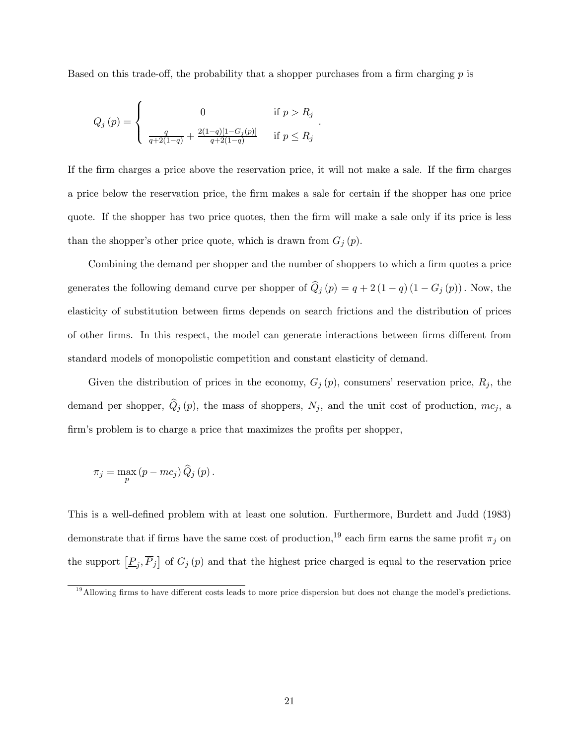Based on this trade-off, the probability that a shopper purchases from a firm charging  $p$  is

$$
Q_j(p) = \begin{cases} 0 & \text{if } p > R_j \\ \frac{q}{q+2(1-q)} + \frac{2(1-q)[1-G_j(p)]}{q+2(1-q)} & \text{if } p \le R_j \end{cases}
$$

If the firm charges a price above the reservation price, it will not make a sale. If the firm charges a price below the reservation price, the firm makes a sale for certain if the shopper has one price quote. If the shopper has two price quotes, then the firm will make a sale only if its price is less than the shopper's other price quote, which is drawn from  $G_j(p)$ .

.

Combining the demand per shopper and the number of shoppers to which a firm quotes a price generates the following demand curve per shopper of  $\hat{Q}_j(p) = q + 2(1 - q)(1 - G_j(p))$ . Now, the elasticity of substitution between firms depends on search frictions and the distribution of prices of other firms. In this respect, the model can generate interactions between firms different from standard models of monopolistic competition and constant elasticity of demand.

Given the distribution of prices in the economy,  $G_j(p)$ , consumers' reservation price,  $R_j$ , the demand per shopper,  $\hat{Q}_j(p)$ , the mass of shoppers,  $N_j$ , and the unit cost of production,  $mc_j$ , a firm's problem is to charge a price that maximizes the profits per shopper,

$$
\pi_j = \max_p (p - mc_j) \, \widehat{Q}_j \left( p \right).
$$

This is a well-defined problem with at least one solution. Furthermore, Burdett and Judd (1983) demonstrate that if firms have the same cost of production,<sup>19</sup> each firm earns the same profit  $\pi_i$  on the support  $[\underline{P}_j, \overline{P}_j]$  of  $G_j(p)$  and that the highest price charged is equal to the reservation price

<sup>&</sup>lt;sup>19</sup>Allowing firms to have different costs leads to more price dispersion but does not change the model's predictions.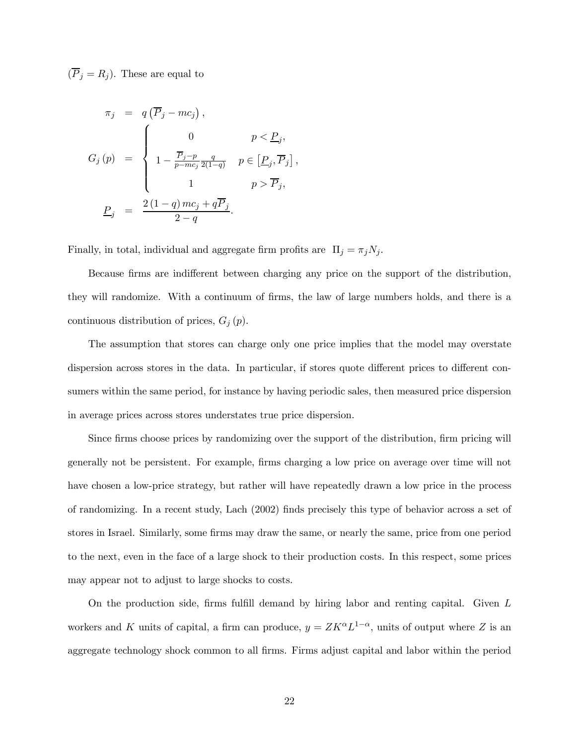$(\overline{P}_j = R_j)$ . These are equal to

$$
\pi_j = q(\overline{P}_j - mc_j),
$$
  
\n
$$
G_j(p) = \begin{cases}\n0 & p < \underline{P}_j, \\
1 - \frac{\overline{P}_j - p}{p - mc_j} \frac{q}{2(1 - q)} & p \in [\underline{P}_j, \overline{P}_j] \\
1 & p > \overline{P}_j, \\
\underline{P}_j = \frac{2(1 - q)mc_j + q\overline{P}_j}{2 - q}.\n\end{cases}
$$

Finally, in total, individual and aggregate firm profits are  $\Pi_j = \pi_j N_j$ .

Because firms are indifferent between charging any price on the support of the distribution, they will randomize. With a continuum of firms, the law of large numbers holds, and there is a continuous distribution of prices,  $G_j(p)$ .

,

The assumption that stores can charge only one price implies that the model may overstate dispersion across stores in the data. In particular, if stores quote different prices to different consumers within the same period, for instance by having periodic sales, then measured price dispersion in average prices across stores understates true price dispersion.

Since firms choose prices by randomizing over the support of the distribution, firm pricing will generally not be persistent. For example, firms charging a low price on average over time will not have chosen a low-price strategy, but rather will have repeatedly drawn a low price in the process of randomizing. In a recent study, Lach (2002) finds precisely this type of behavior across a set of stores in Israel. Similarly, some firms may draw the same, or nearly the same, price from one period to the next, even in the face of a large shock to their production costs. In this respect, some prices may appear not to adjust to large shocks to costs.

On the production side, firms fulfill demand by hiring labor and renting capital. Given L workers and K units of capital, a firm can produce,  $y = ZK^{\alpha}L^{1-\alpha}$ , units of output where Z is an aggregate technology shock common to all firms. Firms adjust capital and labor within the period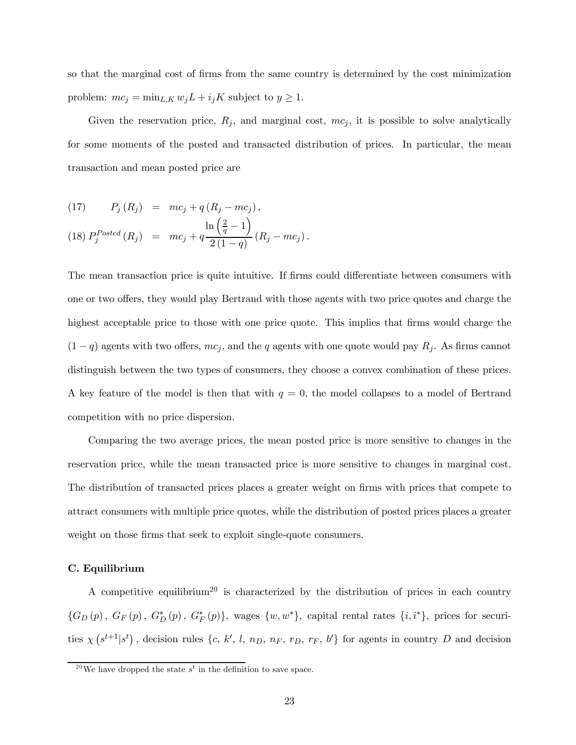so that the marginal cost of firms from the same country is determined by the cost minimization problem:  $mc_j = \min_{L,K} w_j L + i_j K$  subject to  $y \ge 1$ .

Given the reservation price,  $R_j$ , and marginal cost,  $mc_j$ , it is possible to solve analytically for some moments of the posted and transacted distribution of prices. In particular, the mean transaction and mean posted price are

$$
(17) \tPj(Rj) = mcj + q(Rj - mcj),
$$

(18) 
$$
P_j^{Posted}(R_j) = mc_j + q \frac{\ln(\frac{2}{q}-1)}{2(1-q)}(R_j - mc_j).
$$

The mean transaction price is quite intuitive. If firms could differentiate between consumers with one or two offers, they would play Bertrand with those agents with two price quotes and charge the highest acceptable price to those with one price quote. This implies that firms would charge the  $(1 - q)$  agents with two offers,  $mc_j$ , and the q agents with one quote would pay  $R_j$ . As firms cannot distinguish between the two types of consumers, they choose a convex combination of these prices. A key feature of the model is then that with  $q = 0$ , the model collapses to a model of Bertrand competition with no price dispersion.

Comparing the two average prices, the mean posted price is more sensitive to changes in the reservation price, while the mean transacted price is more sensitive to changes in marginal cost. The distribution of transacted prices places a greater weight on firms with prices that compete to attract consumers with multiple price quotes, while the distribution of posted prices places a greater weight on those firms that seek to exploit single-quote consumers.

# C. Equilibrium

A competitive equilibrium<sup>20</sup> is characterized by the distribution of prices in each country  ${G_D(p), G_F(p), G_D^*(p), G_F^*(p)}$ , wages  ${w, w^*}$ , capital rental rates  ${i, i^*}$ , prices for securities  $\chi(s^{t+1}|s^t)$ , decision rules  $\{c, k', l, n_D, n_F, r_D, r_F, b'\}$  for agents in country D and decision

<sup>&</sup>lt;sup>20</sup>We have dropped the state  $s^t$  in the definition to save space.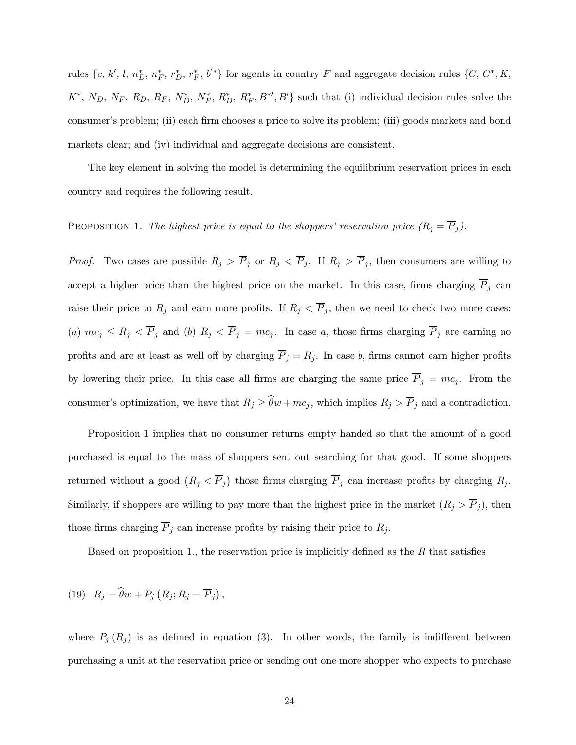rules  $\{c, k', l, n_D^*, n_F^*, r_D^*, r_F^*, b'^*\}$  for agents in country F and aggregate decision rules  $\{C, C^*, K,$  $K^*, N_D, N_F, R_D, R_F, N_D^*, N_F^*, R_D^*, R_F^*, B'^\prime, B'$  such that (i) individual decision rules solve the consumer's problem; (ii) each firm chooses a price to solve its problem; (iii) goods markets and bond markets clear; and (iv) individual and aggregate decisions are consistent.

The key element in solving the model is determining the equilibrium reservation prices in each country and requires the following result.

PROPOSITION 1. The highest price is equal to the shoppers' reservation price  $(R_j = \overline{P}_j)$ .

*Proof.* Two cases are possible  $R_j > \overline{P}_j$  or  $R_j < \overline{P}_j$ . If  $R_j > \overline{P}_j$ , then consumers are willing to accept a higher price than the highest price on the market. In this case, firms charging  $\overline{P}_j$  can raise their price to  $R_j$  and earn more profits. If  $R_j < \overline{P}_j$ , then we need to check two more cases: (a)  $mc_j \le R_j < \overline{P}_j$  and (b)  $R_j < \overline{P}_j = mc_j$ . In case a, those firms charging  $\overline{P}_j$  are earning no profits and are at least as well off by charging  $\overline{P}_j = R_j$ . In case b, firms cannot earn higher profits by lowering their price. In this case all firms are charging the same price  $\overline{P}_j = mc_j$ . From the consumer's optimization, we have that  $R_j \geq \hat{\theta}w + mc_j$ , which implies  $R_j > \overline{P}_j$  and a contradiction.

Proposition 1 implies that no consumer returns empty handed so that the amount of a good purchased is equal to the mass of shoppers sent out searching for that good. If some shoppers returned without a good  $(R_j < \overline{P}_j)$  those firms charging  $\overline{P}_j$  can increase profits by charging  $R_j$ . Similarly, if shoppers are willing to pay more than the highest price in the market  $(R_j > \overline{P}_j)$ , then those firms charging  $\overline{P}_j$  can increase profits by raising their price to  $R_j$ .

Based on proposition 1., the reservation price is implicitly defined as the  $R$  that satisfies

(19) 
$$
R_j = \widehat{\theta}w + P_j(R_j; R_j = \overline{P}_j),
$$

where  $P_i(R_j)$  is as defined in equation (3). In other words, the family is indifferent between purchasing a unit at the reservation price or sending out one more shopper who expects to purchase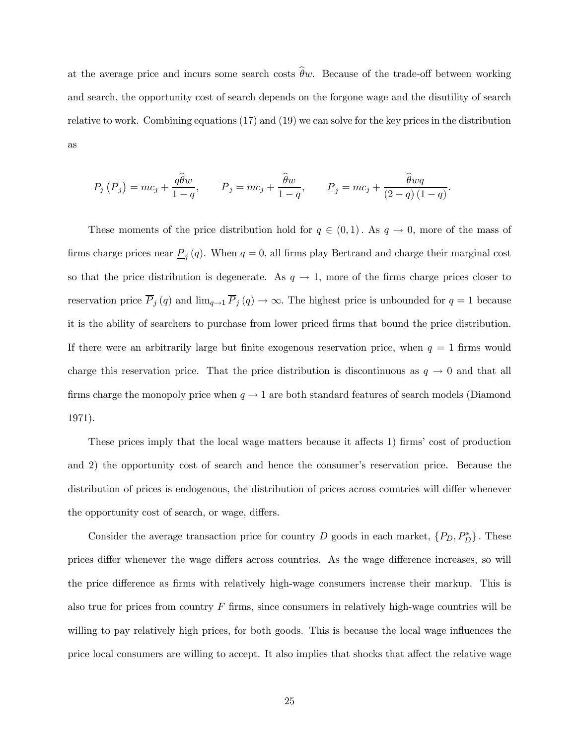at the average price and incurs some search costs  $\hat{\theta}_w$ . Because of the trade-off between working and search, the opportunity cost of search depends on the forgone wage and the disutility of search relative to work. Combining equations (17) and (19) we can solve for the key prices in the distribution as

$$
P_j\left(\overline{P}_j\right) = mc_j + \frac{q\widehat{\theta}w}{1-q}, \qquad \overline{P}_j = mc_j + \frac{\widehat{\theta}w}{1-q}, \qquad \underline{P}_j = mc_j + \frac{\widehat{\theta}wq}{(2-q)(1-q)}.
$$

These moments of the price distribution hold for  $q \in (0,1)$ . As  $q \to 0$ , more of the mass of firms charge prices near  $\underline{P}_j(q)$ . When  $q = 0$ , all firms play Bertrand and charge their marginal cost so that the price distribution is degenerate. As  $q \to 1$ , more of the firms charge prices closer to reservation price  $\overline{P}_j(q)$  and  $\lim_{q\to 1} \overline{P}_j(q) \to \infty$ . The highest price is unbounded for  $q=1$  because it is the ability of searchers to purchase from lower priced firms that bound the price distribution. If there were an arbitrarily large but finite exogenous reservation price, when  $q = 1$  firms would charge this reservation price. That the price distribution is discontinuous as  $q \to 0$  and that all firms charge the monopoly price when  $q \to 1$  are both standard features of search models (Diamond 1971).

These prices imply that the local wage matters because it affects 1) firms' cost of production and 2) the opportunity cost of search and hence the consumer's reservation price. Because the distribution of prices is endogenous, the distribution of prices across countries will differ whenever the opportunity cost of search, or wage, differs.

Consider the average transaction price for country D goods in each market,  $\{P_D, P_D^*\}$ . These prices differ whenever the wage differs across countries. As the wage difference increases, so will the price difference as firms with relatively high-wage consumers increase their markup. This is also true for prices from country  $F$  firms, since consumers in relatively high-wage countries will be willing to pay relatively high prices, for both goods. This is because the local wage influences the price local consumers are willing to accept. It also implies that shocks that affect the relative wage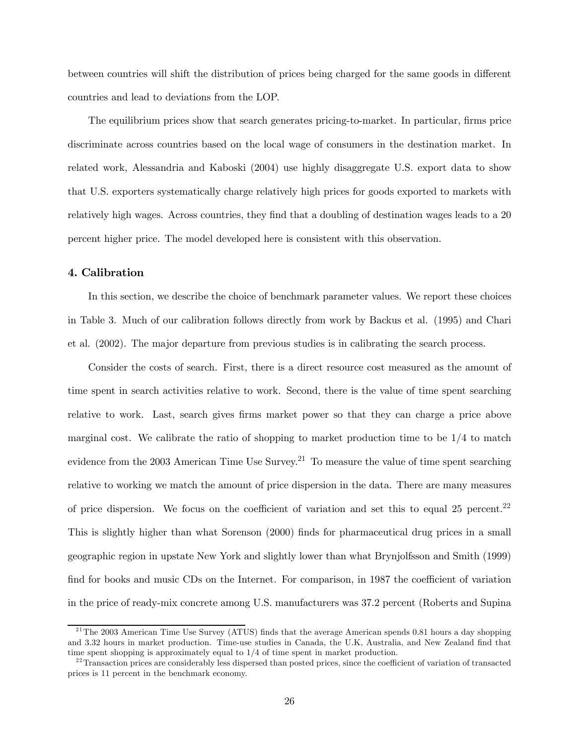between countries will shift the distribution of prices being charged for the same goods in different countries and lead to deviations from the LOP.

The equilibrium prices show that search generates pricing-to-market. In particular, firms price discriminate across countries based on the local wage of consumers in the destination market. In related work, Alessandria and Kaboski (2004) use highly disaggregate U.S. export data to show that U.S. exporters systematically charge relatively high prices for goods exported to markets with relatively high wages. Across countries, they find that a doubling of destination wages leads to a 20 percent higher price. The model developed here is consistent with this observation.

# 4. Calibration

In this section, we describe the choice of benchmark parameter values. We report these choices in Table 3. Much of our calibration follows directly from work by Backus et al. (1995) and Chari et al. (2002). The major departure from previous studies is in calibrating the search process.

Consider the costs of search. First, there is a direct resource cost measured as the amount of time spent in search activities relative to work. Second, there is the value of time spent searching relative to work. Last, search gives firms market power so that they can charge a price above marginal cost. We calibrate the ratio of shopping to market production time to be 1/4 to match evidence from the 2003 American Time Use Survey.<sup>21</sup> To measure the value of time spent searching relative to working we match the amount of price dispersion in the data. There are many measures of price dispersion. We focus on the coefficient of variation and set this to equal 25 percent.<sup>22</sup> This is slightly higher than what Sorenson (2000) finds for pharmaceutical drug prices in a small geographic region in upstate New York and slightly lower than what Brynjolfsson and Smith (1999) find for books and music CDs on the Internet. For comparison, in 1987 the coefficient of variation in the price of ready-mix concrete among U.S. manufacturers was 37.2 percent (Roberts and Supina

 $^{21}$ The 2003 American Time Use Survey (ATUS) finds that the average American spends 0.81 hours a day shopping and 3.32 hours in market production. Time-use studies in Canada, the U.K, Australia, and New Zealand find that time spent shopping is approximately equal to 1/4 of time spent in market production.

 $^{22}$ Transaction prices are considerably less dispersed than posted prices, since the coefficient of variation of transacted prices is 11 percent in the benchmark economy.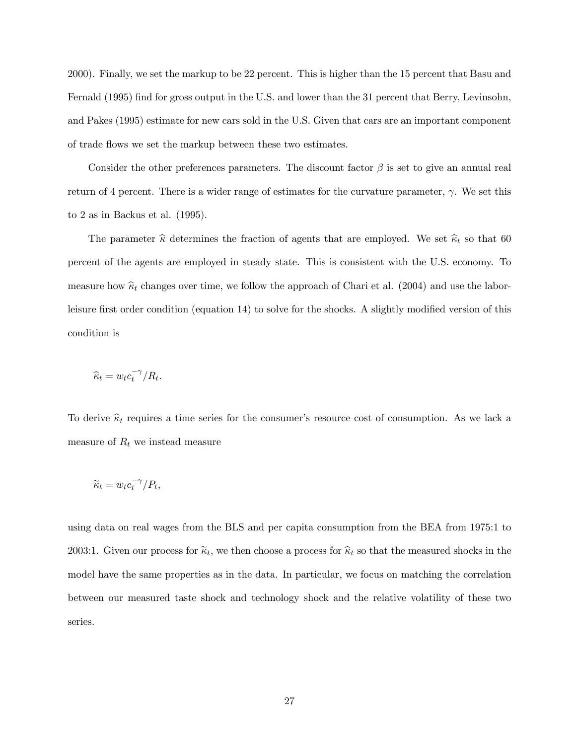2000). Finally, we set the markup to be 22 percent. This is higher than the 15 percent that Basu and Fernald (1995) find for gross output in the U.S. and lower than the 31 percent that Berry, Levinsohn, and Pakes (1995) estimate for new cars sold in the U.S. Given that cars are an important component of trade flows we set the markup between these two estimates.

Consider the other preferences parameters. The discount factor  $\beta$  is set to give an annual real return of 4 percent. There is a wider range of estimates for the curvature parameter,  $\gamma$ . We set this to 2 as in Backus et al. (1995).

The parameter  $\hat{\kappa}$  determines the fraction of agents that are employed. We set  $\hat{\kappa}_t$  so that 60 percent of the agents are employed in steady state. This is consistent with the U.S. economy. To measure how  $\hat{\kappa}_t$  changes over time, we follow the approach of Chari et al. (2004) and use the laborleisure first order condition (equation 14) to solve for the shocks. A slightly modified version of this condition is

$$
\widehat{\kappa}_t = w_t c_t^{-\gamma}/R_t.
$$

To derive  $\hat{\kappa}_t$  requires a time series for the consumer's resource cost of consumption. As we lack a measure of  $R_t$  we instead measure

$$
\widetilde{\kappa}_t = w_t c_t^{-\gamma}/P_t,
$$

using data on real wages from the BLS and per capita consumption from the BEA from 1975:1 to 2003:1. Given our process for  $\tilde{\kappa}_t$ , we then choose a process for  $\hat{\kappa}_t$  so that the measured shocks in the model have the same properties as in the data. In particular, we focus on matching the correlation between our measured taste shock and technology shock and the relative volatility of these two series.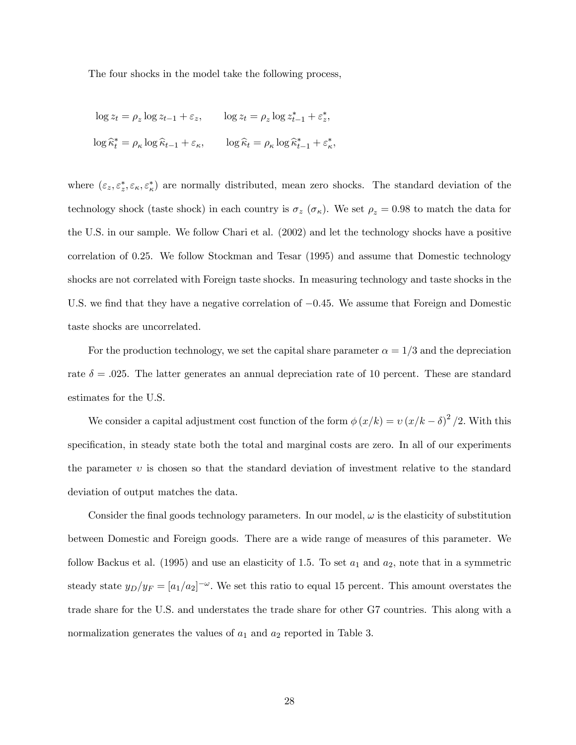The four shocks in the model take the following process,

$$
\log z_t = \rho_z \log z_{t-1} + \varepsilon_z, \qquad \log z_t = \rho_z \log z_{t-1}^* + \varepsilon_z^*,
$$
  

$$
\log \widehat{\kappa}_t^* = \rho_\kappa \log \widehat{\kappa}_{t-1} + \varepsilon_\kappa, \qquad \log \widehat{\kappa}_t = \rho_\kappa \log \widehat{\kappa}_{t-1}^* + \varepsilon_\kappa^*,
$$

where  $(\varepsilon_z, \varepsilon_z^*, \varepsilon_{\kappa}, \varepsilon_{\kappa}^*)$  are normally distributed, mean zero shocks. The standard deviation of the technology shock (taste shock) in each country is  $\sigma_z$  ( $\sigma_{\kappa}$ ). We set  $\rho_z = 0.98$  to match the data for the U.S. in our sample. We follow Chari et al. (2002) and let the technology shocks have a positive correlation of 0.25. We follow Stockman and Tesar (1995) and assume that Domestic technology shocks are not correlated with Foreign taste shocks. In measuring technology and taste shocks in the U.S. we find that they have a negative correlation of  $-0.45$ . We assume that Foreign and Domestic taste shocks are uncorrelated.

For the production technology, we set the capital share parameter  $\alpha = 1/3$  and the depreciation rate  $\delta = .025$ . The latter generates an annual depreciation rate of 10 percent. These are standard estimates for the U.S.

We consider a capital adjustment cost function of the form  $\phi(x/k) = v(x/k - \delta)^2/2$ . With this specification, in steady state both the total and marginal costs are zero. In all of our experiments the parameter  $v$  is chosen so that the standard deviation of investment relative to the standard deviation of output matches the data.

Consider the final goods technology parameters. In our model,  $\omega$  is the elasticity of substitution between Domestic and Foreign goods. There are a wide range of measures of this parameter. We follow Backus et al. (1995) and use an elasticity of 1.5. To set  $a_1$  and  $a_2$ , note that in a symmetric steady state  $y_D/y_F = [a_1/a_2]^{-\omega}$ . We set this ratio to equal 15 percent. This amount overstates the trade share for the U.S. and understates the trade share for other G7 countries. This along with a normalization generates the values of  $a_1$  and  $a_2$  reported in Table 3.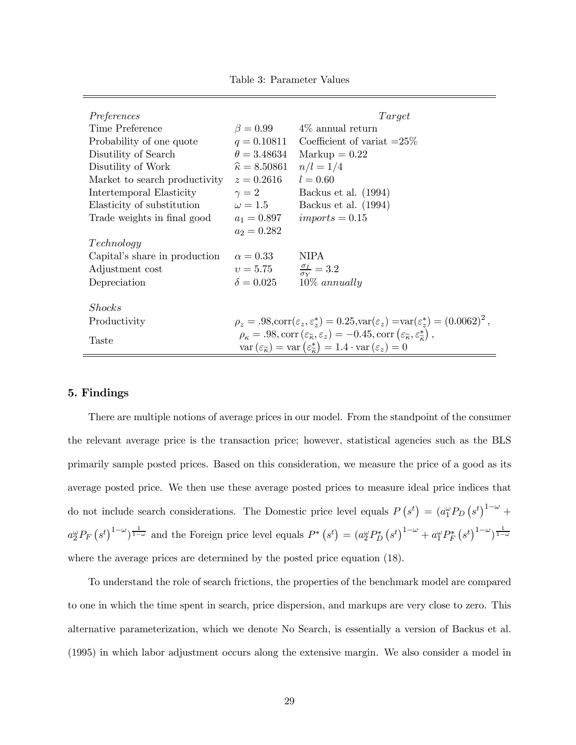Table 3: Parameter Values

| Preferences                                                |                                                                                                                                                                                                                                                                                                    | Target                                                                                                                                    |  |  |  |
|------------------------------------------------------------|----------------------------------------------------------------------------------------------------------------------------------------------------------------------------------------------------------------------------------------------------------------------------------------------------|-------------------------------------------------------------------------------------------------------------------------------------------|--|--|--|
| Time Preference                                            |                                                                                                                                                                                                                                                                                                    | $\beta = 0.99$ 4\% annual return                                                                                                          |  |  |  |
| Probability of one quote                                   | $q = 0.10811$                                                                                                                                                                                                                                                                                      | Coefficient of variat $=25\%$                                                                                                             |  |  |  |
| Disutility of Search                                       | $\theta = 3.48634$                                                                                                                                                                                                                                                                                 | $\text{Markup} = 0.22$                                                                                                                    |  |  |  |
| Disutility of Work                                         | $\widehat{\kappa} = 8.50861$                                                                                                                                                                                                                                                                       | $n/l = 1/4$                                                                                                                               |  |  |  |
| Market to search productivity                              | $z = 0.2616$                                                                                                                                                                                                                                                                                       | $l = 0.60$                                                                                                                                |  |  |  |
| Intertemporal Elasticity                                   | $\gamma=2$                                                                                                                                                                                                                                                                                         | Backus et al. (1994)                                                                                                                      |  |  |  |
| Elasticity of substitution                                 |                                                                                                                                                                                                                                                                                                    | $\omega = 1.5$ Backus et al. (1994)                                                                                                       |  |  |  |
| Trade weights in final good $a_1 = 0.897$ imports $= 0.15$ |                                                                                                                                                                                                                                                                                                    |                                                                                                                                           |  |  |  |
|                                                            | $a_2 = 0.282$                                                                                                                                                                                                                                                                                      |                                                                                                                                           |  |  |  |
| Technology                                                 |                                                                                                                                                                                                                                                                                                    |                                                                                                                                           |  |  |  |
| Capital's share in production                              | $\alpha = 0.33$                                                                                                                                                                                                                                                                                    | <b>NIPA</b>                                                                                                                               |  |  |  |
| Adjustment cost                                            | $v=5.75$                                                                                                                                                                                                                                                                                           | $\frac{\sigma_I}{\sigma_V} = 3.2$                                                                                                         |  |  |  |
| Depreciation                                               | $\delta = 0.025$                                                                                                                                                                                                                                                                                   | $10\%$ annually                                                                                                                           |  |  |  |
|                                                            |                                                                                                                                                                                                                                                                                                    |                                                                                                                                           |  |  |  |
| Shocks                                                     |                                                                                                                                                                                                                                                                                                    |                                                                                                                                           |  |  |  |
| Productivity                                               |                                                                                                                                                                                                                                                                                                    | $\rho_z = .98, \text{corr}(\varepsilon_z, \varepsilon_z^*) = 0.25, \text{var}(\varepsilon_z) = \text{var}(\varepsilon_z^*) = (0.0062)^2,$ |  |  |  |
| Taste                                                      | $\rho_{\kappa} = .98$ , corr $(\varepsilon_{\widetilde{\kappa}}, \varepsilon_z) = -0.45$ , corr $(\varepsilon_{\widetilde{\kappa}}, \varepsilon_{\widetilde{\kappa}}^*)$ ,<br>$var(\varepsilon_{\widetilde{\kappa}}) = var(\varepsilon_{\widetilde{\kappa}}^*) = 1.4 \cdot var(\varepsilon_z) = 0$ |                                                                                                                                           |  |  |  |

# 5. Findings

There are multiple notions of average prices in our model. From the standpoint of the consumer the relevant average price is the transaction price; however, statistical agencies such as the BLS primarily sample posted prices. Based on this consideration, we measure the price of a good as its average posted price. We then use these average posted prices to measure ideal price indices that do not include search considerations. The Domestic price level equals  $P(s^t) = (a_1^{\omega} P_D (s^t)^{1-\omega} +$  $a_2^{\omega}P_F\left(s^t\right)^{1-\omega}$  and the Foreign price level equals  $P^*\left(s^t\right) = \left(a_2^{\omega}P_D^*\left(s^t\right)^{1-\omega} + a_1^{\omega}P_F^*\left(s^t\right)^{1-\omega}\right)^{\frac{1}{1-\omega}}$ where the average prices are determined by the posted price equation  $(18)$ .

To understand the role of search frictions, the properties of the benchmark model are compared to one in which the time spent in search, price dispersion, and markups are very close to zero. This alternative parameterization, which we denote No Search, is essentially a version of Backus et al. (1995) in which labor adjustment occurs along the extensive margin. We also consider a model in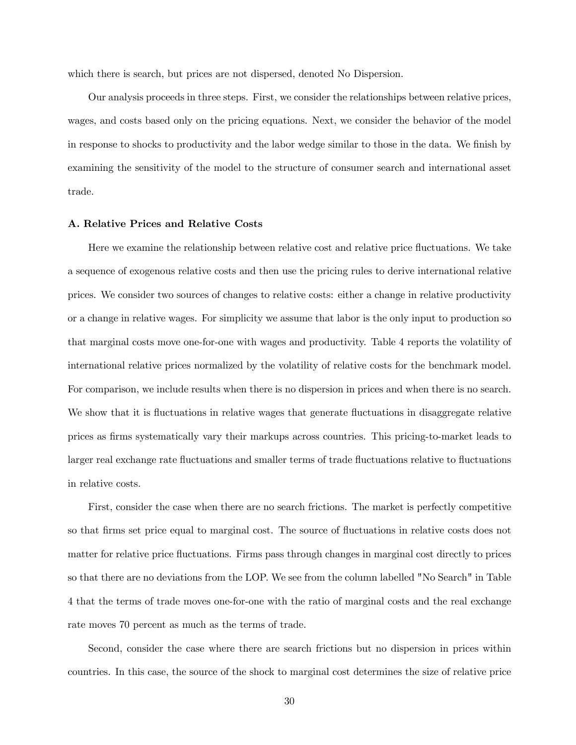which there is search, but prices are not dispersed, denoted No Dispersion.

Our analysis proceeds in three steps. First, we consider the relationships between relative prices, wages, and costs based only on the pricing equations. Next, we consider the behavior of the model in response to shocks to productivity and the labor wedge similar to those in the data. We finish by examining the sensitivity of the model to the structure of consumer search and international asset trade.

### A. Relative Prices and Relative Costs

Here we examine the relationship between relative cost and relative price fluctuations. We take a sequence of exogenous relative costs and then use the pricing rules to derive international relative prices. We consider two sources of changes to relative costs: either a change in relative productivity or a change in relative wages. For simplicity we assume that labor is the only input to production so that marginal costs move one-for-one with wages and productivity. Table 4 reports the volatility of international relative prices normalized by the volatility of relative costs for the benchmark model. For comparison, we include results when there is no dispersion in prices and when there is no search. We show that it is fluctuations in relative wages that generate fluctuations in disaggregate relative prices as firms systematically vary their markups across countries. This pricing-to-market leads to larger real exchange rate fluctuations and smaller terms of trade fluctuations relative to fluctuations in relative costs.

First, consider the case when there are no search frictions. The market is perfectly competitive so that firms set price equal to marginal cost. The source of fluctuations in relative costs does not matter for relative price fluctuations. Firms pass through changes in marginal cost directly to prices so that there are no deviations from the LOP. We see from the column labelled "No Search" in Table 4 that the terms of trade moves one-for-one with the ratio of marginal costs and the real exchange rate moves 70 percent as much as the terms of trade.

Second, consider the case where there are search frictions but no dispersion in prices within countries. In this case, the source of the shock to marginal cost determines the size of relative price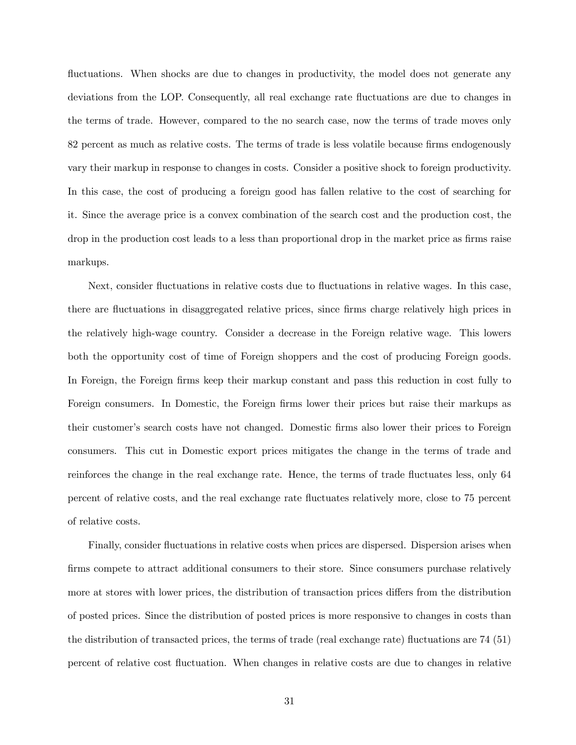fluctuations. When shocks are due to changes in productivity, the model does not generate any deviations from the LOP. Consequently, all real exchange rate fluctuations are due to changes in the terms of trade. However, compared to the no search case, now the terms of trade moves only 82 percent as much as relative costs. The terms of trade is less volatile because firms endogenously vary their markup in response to changes in costs. Consider a positive shock to foreign productivity. In this case, the cost of producing a foreign good has fallen relative to the cost of searching for it. Since the average price is a convex combination of the search cost and the production cost, the drop in the production cost leads to a less than proportional drop in the market price as firms raise markups.

Next, consider fluctuations in relative costs due to fluctuations in relative wages. In this case, there are fluctuations in disaggregated relative prices, since firms charge relatively high prices in the relatively high-wage country. Consider a decrease in the Foreign relative wage. This lowers both the opportunity cost of time of Foreign shoppers and the cost of producing Foreign goods. In Foreign, the Foreign firms keep their markup constant and pass this reduction in cost fully to Foreign consumers. In Domestic, the Foreign firms lower their prices but raise their markups as their customer's search costs have not changed. Domestic firms also lower their prices to Foreign consumers. This cut in Domestic export prices mitigates the change in the terms of trade and reinforces the change in the real exchange rate. Hence, the terms of trade fluctuates less, only 64 percent of relative costs, and the real exchange rate fluctuates relatively more, close to 75 percent of relative costs.

Finally, consider fluctuations in relative costs when prices are dispersed. Dispersion arises when firms compete to attract additional consumers to their store. Since consumers purchase relatively more at stores with lower prices, the distribution of transaction prices differs from the distribution of posted prices. Since the distribution of posted prices is more responsive to changes in costs than the distribution of transacted prices, the terms of trade (real exchange rate) fluctuations are 74 (51) percent of relative cost fluctuation. When changes in relative costs are due to changes in relative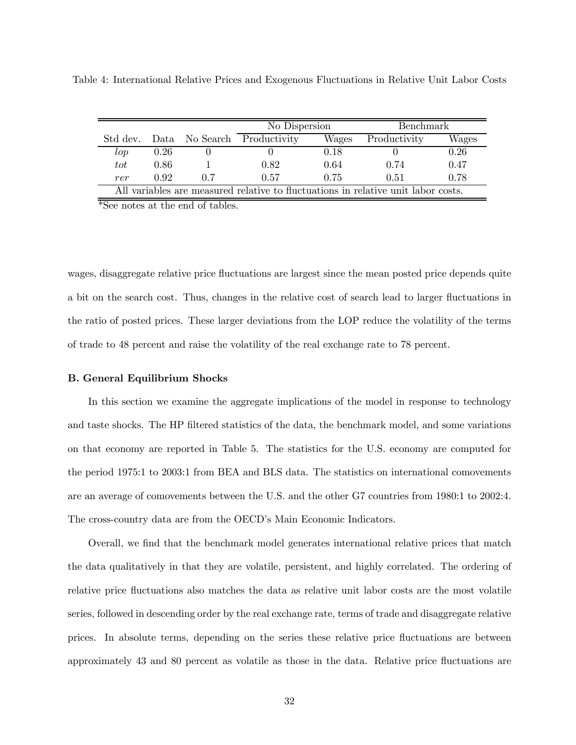|                                                                                   |      |     | No Dispersion               |       | <b>Benchmark</b> |       |  |  |
|-----------------------------------------------------------------------------------|------|-----|-----------------------------|-------|------------------|-------|--|--|
| Std dev.                                                                          |      |     | Data No Search Productivity | Wages | Productivity     | Wages |  |  |
| $\log$                                                                            | 0.26 |     |                             | 0.18  |                  | 0.26  |  |  |
| tot                                                                               | 0.86 |     | 0.82                        | 0.64  | 0.74             | 0.47  |  |  |
| rer                                                                               | 0.92 | 0.7 | 0.57                        | 0.75  | 0.51             | 0.78  |  |  |
| All variables are measured relative to fluctuations in relative unit labor costs. |      |     |                             |       |                  |       |  |  |

Table 4: International Relative Prices and Exogenous Fluctuations in Relative Unit Labor Costs

\*See notes at the end of tables.

wages, disaggregate relative price fluctuations are largest since the mean posted price depends quite a bit on the search cost. Thus, changes in the relative cost of search lead to larger fluctuations in the ratio of posted prices. These larger deviations from the LOP reduce the volatility of the terms of trade to 48 percent and raise the volatility of the real exchange rate to 78 percent.

### B. General Equilibrium Shocks

In this section we examine the aggregate implications of the model in response to technology and taste shocks. The HP filtered statistics of the data, the benchmark model, and some variations on that economy are reported in Table 5. The statistics for the U.S. economy are computed for the period 1975:1 to 2003:1 from BEA and BLS data. The statistics on international comovements are an average of comovements between the U.S. and the other G7 countries from 1980:1 to 2002:4. The cross-country data are from the OECD's Main Economic Indicators.

Overall, we find that the benchmark model generates international relative prices that match the data qualitatively in that they are volatile, persistent, and highly correlated. The ordering of relative price fluctuations also matches the data as relative unit labor costs are the most volatile series, followed in descending order by the real exchange rate, terms of trade and disaggregate relative prices. In absolute terms, depending on the series these relative price fluctuations are between approximately 43 and 80 percent as volatile as those in the data. Relative price fluctuations are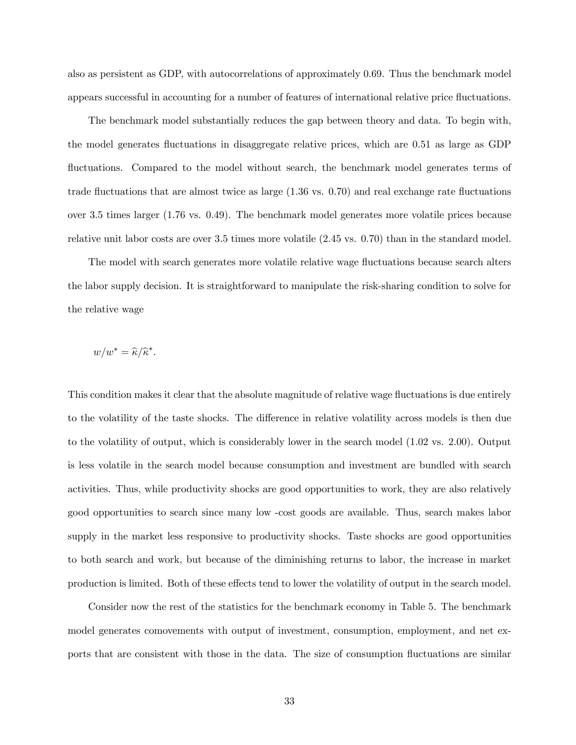also as persistent as GDP, with autocorrelations of approximately 0.69. Thus the benchmark model appears successful in accounting for a number of features of international relative price fluctuations.

The benchmark model substantially reduces the gap between theory and data. To begin with, the model generates fluctuations in disaggregate relative prices, which are 0.51 as large as GDP fluctuations. Compared to the model without search, the benchmark model generates terms of trade fluctuations that are almost twice as large (1.36 vs. 0.70) and real exchange rate fluctuations over 3.5 times larger (1.76 vs. 0.49). The benchmark model generates more volatile prices because relative unit labor costs are over 3.5 times more volatile (2.45 vs. 0.70) than in the standard model.

The model with search generates more volatile relative wage fluctuations because search alters the labor supply decision. It is straightforward to manipulate the risk-sharing condition to solve for the relative wage

$$
w/w^* = \widehat{\kappa}/\widehat{\kappa}^*.
$$

This condition makes it clear that the absolute magnitude of relative wage fluctuations is due entirely to the volatility of the taste shocks. The difference in relative volatility across models is then due to the volatility of output, which is considerably lower in the search model (1.02 vs. 2.00). Output is less volatile in the search model because consumption and investment are bundled with search activities. Thus, while productivity shocks are good opportunities to work, they are also relatively good opportunities to search since many low -cost goods are available. Thus, search makes labor supply in the market less responsive to productivity shocks. Taste shocks are good opportunities to both search and work, but because of the diminishing returns to labor, the increase in market production is limited. Both of these effects tend to lower the volatility of output in the search model.

Consider now the rest of the statistics for the benchmark economy in Table 5. The benchmark model generates comovements with output of investment, consumption, employment, and net exports that are consistent with those in the data. The size of consumption fluctuations are similar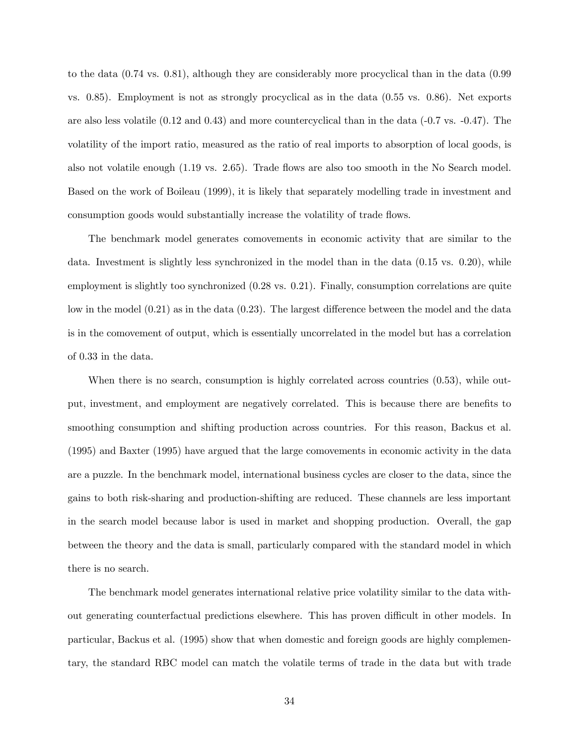to the data (0.74 vs. 0.81), although they are considerably more procyclical than in the data (0.99 vs. 0.85). Employment is not as strongly procyclical as in the data (0.55 vs. 0.86). Net exports are also less volatile (0.12 and 0.43) and more countercyclical than in the data (-0.7 vs. -0.47). The volatility of the import ratio, measured as the ratio of real imports to absorption of local goods, is also not volatile enough (1.19 vs. 2.65). Trade flows are also too smooth in the No Search model. Based on the work of Boileau (1999), it is likely that separately modelling trade in investment and consumption goods would substantially increase the volatility of trade flows.

The benchmark model generates comovements in economic activity that are similar to the data. Investment is slightly less synchronized in the model than in the data (0.15 vs. 0.20), while employment is slightly too synchronized (0.28 vs. 0.21). Finally, consumption correlations are quite low in the model (0.21) as in the data (0.23). The largest difference between the model and the data is in the comovement of output, which is essentially uncorrelated in the model but has a correlation of 0.33 in the data.

When there is no search, consumption is highly correlated across countries  $(0.53)$ , while output, investment, and employment are negatively correlated. This is because there are benefits to smoothing consumption and shifting production across countries. For this reason, Backus et al. (1995) and Baxter (1995) have argued that the large comovements in economic activity in the data are a puzzle. In the benchmark model, international business cycles are closer to the data, since the gains to both risk-sharing and production-shifting are reduced. These channels are less important in the search model because labor is used in market and shopping production. Overall, the gap between the theory and the data is small, particularly compared with the standard model in which there is no search.

The benchmark model generates international relative price volatility similar to the data without generating counterfactual predictions elsewhere. This has proven difficult in other models. In particular, Backus et al. (1995) show that when domestic and foreign goods are highly complementary, the standard RBC model can match the volatile terms of trade in the data but with trade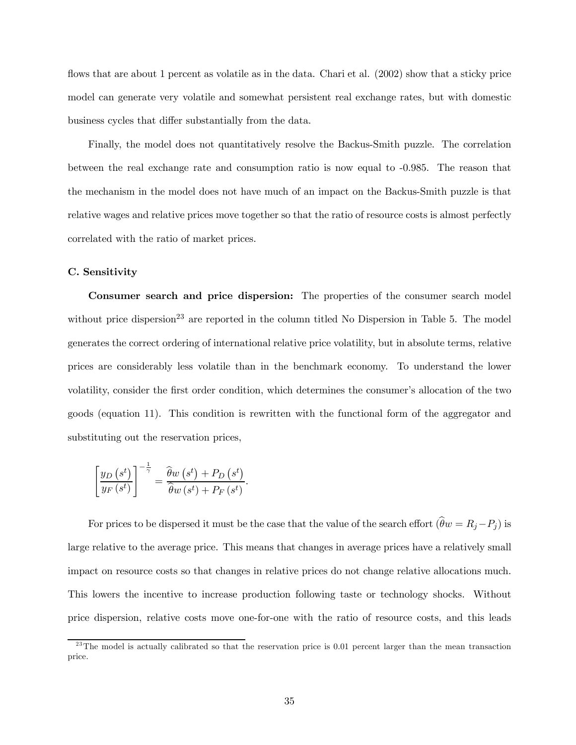flows that are about 1 percent as volatile as in the data. Chari et al. (2002) show that a sticky price model can generate very volatile and somewhat persistent real exchange rates, but with domestic business cycles that differ substantially from the data.

Finally, the model does not quantitatively resolve the Backus-Smith puzzle. The correlation between the real exchange rate and consumption ratio is now equal to -0.985. The reason that the mechanism in the model does not have much of an impact on the Backus-Smith puzzle is that relative wages and relative prices move together so that the ratio of resource costs is almost perfectly correlated with the ratio of market prices.

#### C. Sensitivity

Consumer search and price dispersion: The properties of the consumer search model without price dispersion<sup>23</sup> are reported in the column titled No Dispersion in Table 5. The model generates the correct ordering of international relative price volatility, but in absolute terms, relative prices are considerably less volatile than in the benchmark economy. To understand the lower volatility, consider the first order condition, which determines the consumer's allocation of the two goods (equation 11). This condition is rewritten with the functional form of the aggregator and substituting out the reservation prices,

$$
\left[\frac{y_D\left(s^t\right)}{y_F\left(s^t\right)}\right]^{-\frac{1}{\gamma}} = \frac{\widehat{\theta}w\left(s^t\right) + P_D\left(s^t\right)}{\widehat{\theta}w\left(s^t\right) + P_F\left(s^t\right)}.
$$

For prices to be dispersed it must be the case that the value of the search effort  $(\hat{\theta}w = R_j - P_j)$  is large relative to the average price. This means that changes in average prices have a relatively small impact on resource costs so that changes in relative prices do not change relative allocations much. This lowers the incentive to increase production following taste or technology shocks. Without price dispersion, relative costs move one-for-one with the ratio of resource costs, and this leads

 $^{23}$ The model is actually calibrated so that the reservation price is 0.01 percent larger than the mean transaction price.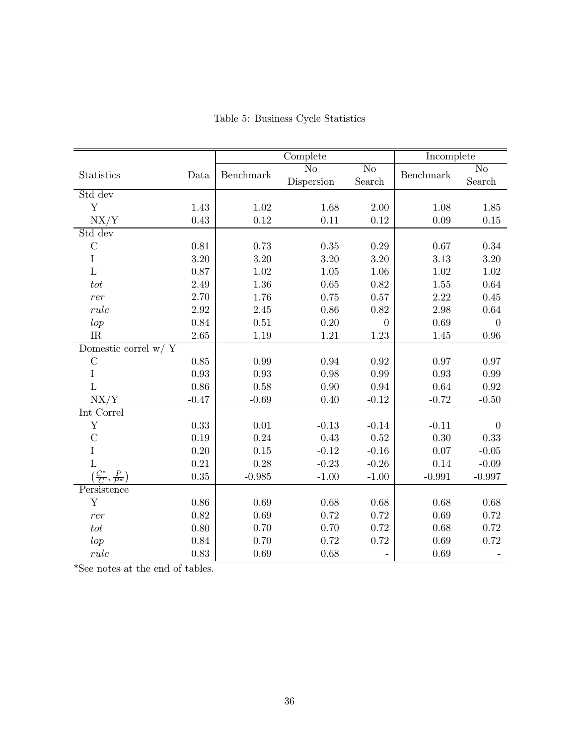|                                            |          |           | Complete               |                        | Incomplete |                        |  |
|--------------------------------------------|----------|-----------|------------------------|------------------------|------------|------------------------|--|
|                                            |          | Benchmark | $\overline{\text{No}}$ | $\overline{\text{No}}$ |            | $\overline{\text{No}}$ |  |
| Statistics                                 | Data     |           | Dispersion             | ${\bf Search}$         | Benchmark  | Search                 |  |
| Std dev                                    |          |           |                        |                        |            |                        |  |
| $\mathbf Y$                                | $1.43\,$ | $1.02\,$  | 1.68                   | $2.00\,$               | 1.08       | $1.85\,$               |  |
| NX/Y                                       | 0.43     | 0.12      | 0.11                   | 0.12                   | 0.09       | $0.15\,$               |  |
| Std dev                                    |          |           |                        |                        |            |                        |  |
| $\mathcal{C}$                              | $0.81\,$ | 0.73      | $0.35\,$               | $0.29\,$               | 0.67       | $0.34\,$               |  |
| $\rm I$                                    | $3.20\,$ | $3.20\,$  | 3.20                   | $3.20\,$               | 3.13       | $3.20\,$               |  |
| $\mathbf L$                                | 0.87     | 1.02      | 1.05                   | 1.06                   | 1.02       | 1.02                   |  |
| $\hspace{0.1em}tot$                        | 2.49     | 1.36      | 0.65                   | 0.82                   | $1.55\,$   | 0.64                   |  |
| rer                                        | 2.70     | 1.76      | 0.75                   | $0.57\,$               | 2.22       | 0.45                   |  |
| rule                                       | $2.92\,$ | 2.45      | 0.86                   | 0.82                   | 2.98       | $0.64\,$               |  |
| lop                                        | 0.84     | 0.51      | 0.20                   | $\theta$               | 0.69       | $\theta$               |  |
| IR                                         | 2.65     | 1.19      | $1.21\,$               | 1.23                   | 1.45       | 0.96                   |  |
| Domestic correl $w / Y$                    |          |           |                        |                        |            |                        |  |
| $\mathcal{C}$                              | $0.85\,$ | 0.99      | 0.94                   | $\rm 0.92$             | 0.97       | 0.97                   |  |
| $\rm I$                                    | 0.93     | 0.93      | 0.98                   | 0.99                   | 0.93       | 0.99                   |  |
| $\mathbf{L}$                               | 0.86     | 0.58      | 0.90                   | 0.94                   | 0.64       | 0.92                   |  |
| NX/Y                                       | $-0.47$  | $-0.69$   | 0.40                   | $-0.12$                | $-0.72$    | $-0.50$                |  |
| Int Correl                                 |          |           |                        |                        |            |                        |  |
| $\mathbf Y$                                | 0.33     | $0.01\,$  | $-0.13$                | $-0.14$                | $-0.11$    | $\overline{0}$         |  |
| $\mathcal{C}$                              | 0.19     | 0.24      | 0.43                   | 0.52                   | 0.30       | 0.33                   |  |
| I                                          | $0.20\,$ | $0.15\,$  | $-0.12$                | $-0.16$                | 0.07       | $-0.05$                |  |
| $\overline{L}$                             | $0.21\,$ | 0.28      | $-0.23$                | $-0.26$                | 0.14       | $-0.09$                |  |
| $\left(\frac{C^*}{C},\frac{P}{P^*}\right)$ | 0.35     | $-0.985$  | $-1.00$                | $-1.00$                | $-0.991$   | $-0.997$               |  |
| Persistence                                |          |           |                        |                        |            |                        |  |
| $\mathbf Y$                                | $0.86\,$ | 0.69      | 0.68                   | 0.68                   | 0.68       | 0.68                   |  |
| rer                                        | $0.82\,$ | 0.69      | 0.72                   | 0.72                   | 0.69       | 0.72                   |  |
| $\hspace{0.1em}tot$                        | $0.80\,$ | 0.70      | 0.70                   | 0.72                   | 0.68       | 0.72                   |  |
| lop                                        | 0.84     | 0.70      | 0.72                   | 0.72                   | 0.69       | 0.72                   |  |
| rule                                       | 0.83     | 0.69      | 0.68                   |                        | 0.69       |                        |  |

Table 5: Business Cycle Statistics

\*See notes at the end of tables.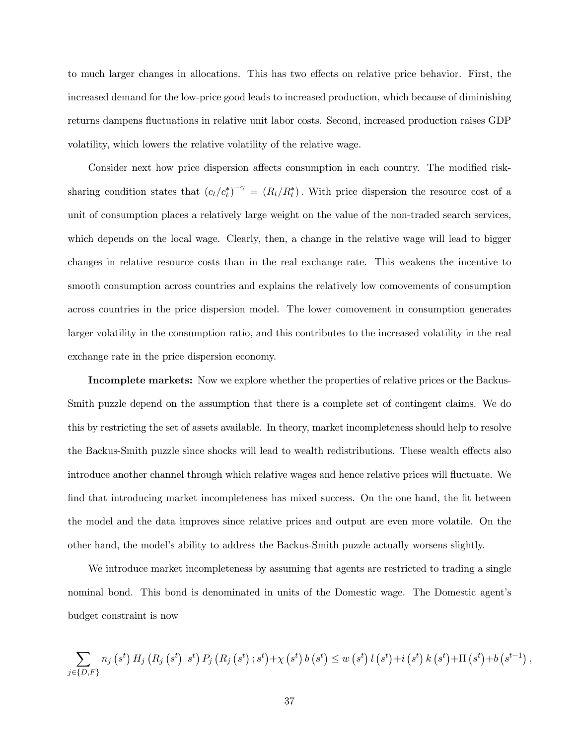to much larger changes in allocations. This has two effects on relative price behavior. First, the increased demand for the low-price good leads to increased production, which because of diminishing returns dampens fluctuations in relative unit labor costs. Second, increased production raises GDP volatility, which lowers the relative volatility of the relative wage.

Consider next how price dispersion affects consumption in each country. The modified risksharing condition states that  $(c_t/c_t^*)^{-\gamma} = (R_t/R_t^*)$ . With price dispersion the resource cost of a unit of consumption places a relatively large weight on the value of the non-traded search services, which depends on the local wage. Clearly, then, a change in the relative wage will lead to bigger changes in relative resource costs than in the real exchange rate. This weakens the incentive to smooth consumption across countries and explains the relatively low comovements of consumption across countries in the price dispersion model. The lower comovement in consumption generates larger volatility in the consumption ratio, and this contributes to the increased volatility in the real exchange rate in the price dispersion economy.

Incomplete markets: Now we explore whether the properties of relative prices or the Backus-Smith puzzle depend on the assumption that there is a complete set of contingent claims. We do this by restricting the set of assets available. In theory, market incompleteness should help to resolve the Backus-Smith puzzle since shocks will lead to wealth redistributions. These wealth effects also introduce another channel through which relative wages and hence relative prices will fluctuate. We find that introducing market incompleteness has mixed success. On the one hand, the fit between the model and the data improves since relative prices and output are even more volatile. On the other hand, the model's ability to address the Backus-Smith puzzle actually worsens slightly.

We introduce market incompleteness by assuming that agents are restricted to trading a single nominal bond. This bond is denominated in units of the Domestic wage. The Domestic agent's budget constraint is now

$$
\sum_{j \in \{D,F\}} n_j(s^t) H_j(R_j(s^t) | s^t) P_j(R_j(s^t); s^t) + \chi(s^t) b(s^t) \leq w(s^t) l(s^t) + i(s^t) k(s^t) + \Pi(s^t) + b(s^{t-1}),
$$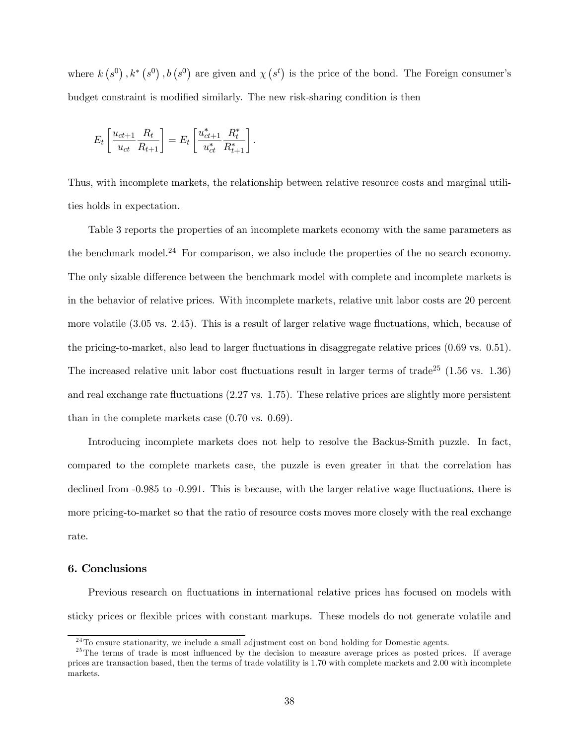where  $k(s^0), k^*(s^0), b(s^0)$  are given and  $\chi(s^t)$  is the price of the bond. The Foreign consumer's budget constraint is modified similarly. The new risk-sharing condition is then

$$
E_t \left[ \frac{u_{ct+1}}{u_{ct}} \frac{R_t}{R_{t+1}} \right] = E_t \left[ \frac{u_{ct+1}^*}{u_{ct}^*} \frac{R_t^*}{R_{t+1}^*} \right].
$$

Thus, with incomplete markets, the relationship between relative resource costs and marginal utilities holds in expectation.

Table 3 reports the properties of an incomplete markets economy with the same parameters as the benchmark model.<sup>24</sup> For comparison, we also include the properties of the no search economy. The only sizable difference between the benchmark model with complete and incomplete markets is in the behavior of relative prices. With incomplete markets, relative unit labor costs are 20 percent more volatile (3.05 vs. 2.45). This is a result of larger relative wage fluctuations, which, because of the pricing-to-market, also lead to larger fluctuations in disaggregate relative prices (0.69 vs. 0.51). The increased relative unit labor cost fluctuations result in larger terms of trade<sup>25</sup>  $(1.56 \text{ vs. } 1.36)$ and real exchange rate fluctuations (2.27 vs. 1.75). These relative prices are slightly more persistent than in the complete markets case (0.70 vs. 0.69).

Introducing incomplete markets does not help to resolve the Backus-Smith puzzle. In fact, compared to the complete markets case, the puzzle is even greater in that the correlation has declined from -0.985 to -0.991. This is because, with the larger relative wage fluctuations, there is more pricing-to-market so that the ratio of resource costs moves more closely with the real exchange rate.

# 6. Conclusions

Previous research on fluctuations in international relative prices has focused on models with sticky prices or flexible prices with constant markups. These models do not generate volatile and

 $24$ To ensure stationarity, we include a small adjustment cost on bond holding for Domestic agents.

<sup>&</sup>lt;sup>25</sup>The terms of trade is most influenced by the decision to measure average prices as posted prices. If average prices are transaction based, then the terms of trade volatility is 1.70 with complete markets and 2.00 with incomplete markets.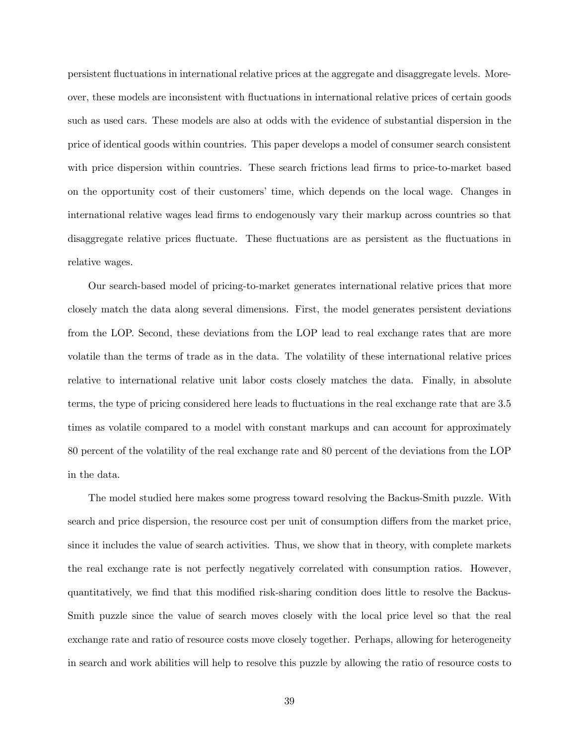persistent fluctuations in international relative prices at the aggregate and disaggregate levels. Moreover, these models are inconsistent with fluctuations in international relative prices of certain goods such as used cars. These models are also at odds with the evidence of substantial dispersion in the price of identical goods within countries. This paper develops a model of consumer search consistent with price dispersion within countries. These search frictions lead firms to price-to-market based on the opportunity cost of their customers' time, which depends on the local wage. Changes in international relative wages lead firms to endogenously vary their markup across countries so that disaggregate relative prices fluctuate. These fluctuations are as persistent as the fluctuations in relative wages.

Our search-based model of pricing-to-market generates international relative prices that more closely match the data along several dimensions. First, the model generates persistent deviations from the LOP. Second, these deviations from the LOP lead to real exchange rates that are more volatile than the terms of trade as in the data. The volatility of these international relative prices relative to international relative unit labor costs closely matches the data. Finally, in absolute terms, the type of pricing considered here leads to fluctuations in the real exchange rate that are 3.5 times as volatile compared to a model with constant markups and can account for approximately 80 percent of the volatility of the real exchange rate and 80 percent of the deviations from the LOP in the data.

The model studied here makes some progress toward resolving the Backus-Smith puzzle. With search and price dispersion, the resource cost per unit of consumption differs from the market price, since it includes the value of search activities. Thus, we show that in theory, with complete markets the real exchange rate is not perfectly negatively correlated with consumption ratios. However, quantitatively, we find that this modified risk-sharing condition does little to resolve the Backus-Smith puzzle since the value of search moves closely with the local price level so that the real exchange rate and ratio of resource costs move closely together. Perhaps, allowing for heterogeneity in search and work abilities will help to resolve this puzzle by allowing the ratio of resource costs to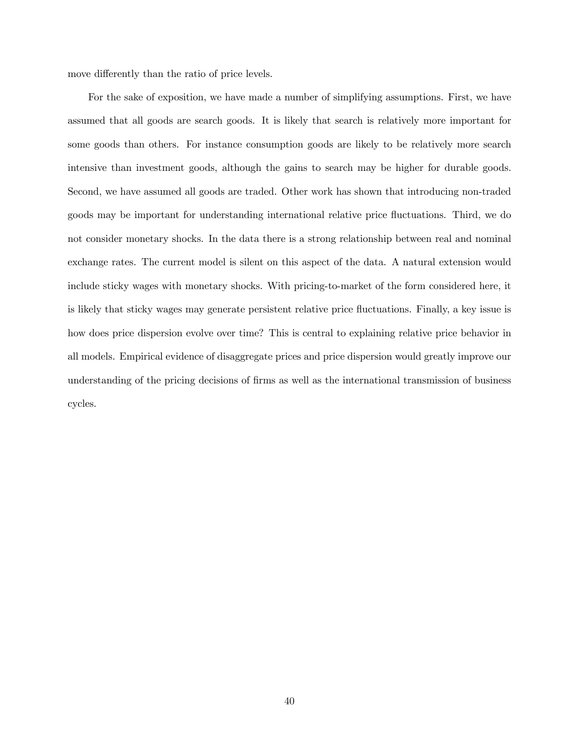move differently than the ratio of price levels.

For the sake of exposition, we have made a number of simplifying assumptions. First, we have assumed that all goods are search goods. It is likely that search is relatively more important for some goods than others. For instance consumption goods are likely to be relatively more search intensive than investment goods, although the gains to search may be higher for durable goods. Second, we have assumed all goods are traded. Other work has shown that introducing non-traded goods may be important for understanding international relative price fluctuations. Third, we do not consider monetary shocks. In the data there is a strong relationship between real and nominal exchange rates. The current model is silent on this aspect of the data. A natural extension would include sticky wages with monetary shocks. With pricing-to-market of the form considered here, it is likely that sticky wages may generate persistent relative price fluctuations. Finally, a key issue is how does price dispersion evolve over time? This is central to explaining relative price behavior in all models. Empirical evidence of disaggregate prices and price dispersion would greatly improve our understanding of the pricing decisions of firms as well as the international transmission of business cycles.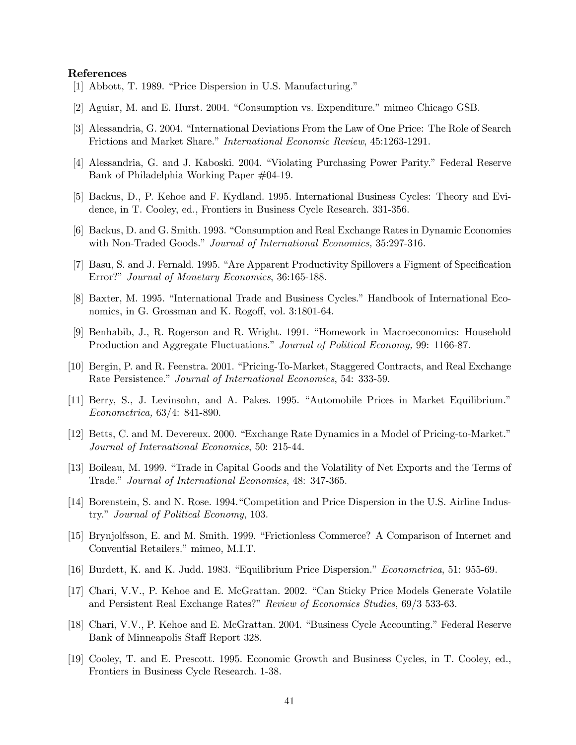#### References

- [1] Abbott, T. 1989. "Price Dispersion in U.S. Manufacturing."
- [2] Aguiar, M. and E. Hurst. 2004. "Consumption vs. Expenditure." mimeo Chicago GSB.
- [3] Alessandria, G. 2004. "International Deviations From the Law of One Price: The Role of Search Frictions and Market Share." International Economic Review, 45:1263-1291.
- [4] Alessandria, G. and J. Kaboski. 2004. "Violating Purchasing Power Parity." Federal Reserve Bank of Philadelphia Working Paper #04-19.
- [5] Backus, D., P. Kehoe and F. Kydland. 1995. International Business Cycles: Theory and Evidence, in T. Cooley, ed., Frontiers in Business Cycle Research. 331-356.
- [6] Backus, D. and G. Smith. 1993. "Consumption and Real Exchange Rates in Dynamic Economies with Non-Traded Goods." Journal of International Economics, 35:297-316.
- [7] Basu, S. and J. Fernald. 1995. "Are Apparent Productivity Spillovers a Figment of Specification Error?" Journal of Monetary Economics, 36:165-188.
- [8] Baxter, M. 1995. "International Trade and Business Cycles." Handbook of International Economics, in G. Grossman and K. Rogoff, vol. 3:1801-64.
- [9] Benhabib, J., R. Rogerson and R. Wright. 1991. "Homework in Macroeconomics: Household Production and Aggregate Fluctuations." Journal of Political Economy, 99: 1166-87.
- [10] Bergin, P. and R. Feenstra. 2001. "Pricing-To-Market, Staggered Contracts, and Real Exchange Rate Persistence." Journal of International Economics, 54: 333-59.
- [11] Berry, S., J. Levinsohn, and A. Pakes. 1995. "Automobile Prices in Market Equilibrium." Econometrica, 63/4: 841-890.
- [12] Betts, C. and M. Devereux. 2000. "Exchange Rate Dynamics in a Model of Pricing-to-Market." Journal of International Economics, 50: 215-44.
- [13] Boileau, M. 1999. "Trade in Capital Goods and the Volatility of Net Exports and the Terms of Trade." Journal of International Economics, 48: 347-365.
- [14] Borenstein, S. and N. Rose. 1994."Competition and Price Dispersion in the U.S. Airline Industry." Journal of Political Economy, 103.
- [15] Brynjolfsson, E. and M. Smith. 1999. "Frictionless Commerce? A Comparison of Internet and Convential Retailers." mimeo, M.I.T.
- [16] Burdett, K. and K. Judd. 1983. "Equilibrium Price Dispersion." Econometrica, 51: 955-69.
- [17] Chari, V.V., P. Kehoe and E. McGrattan. 2002. "Can Sticky Price Models Generate Volatile and Persistent Real Exchange Rates?" Review of Economics Studies, 69/3 533-63.
- [18] Chari, V.V., P. Kehoe and E. McGrattan. 2004. "Business Cycle Accounting." Federal Reserve Bank of Minneapolis Staff Report 328.
- [19] Cooley, T. and E. Prescott. 1995. Economic Growth and Business Cycles, in T. Cooley, ed., Frontiers in Business Cycle Research. 1-38.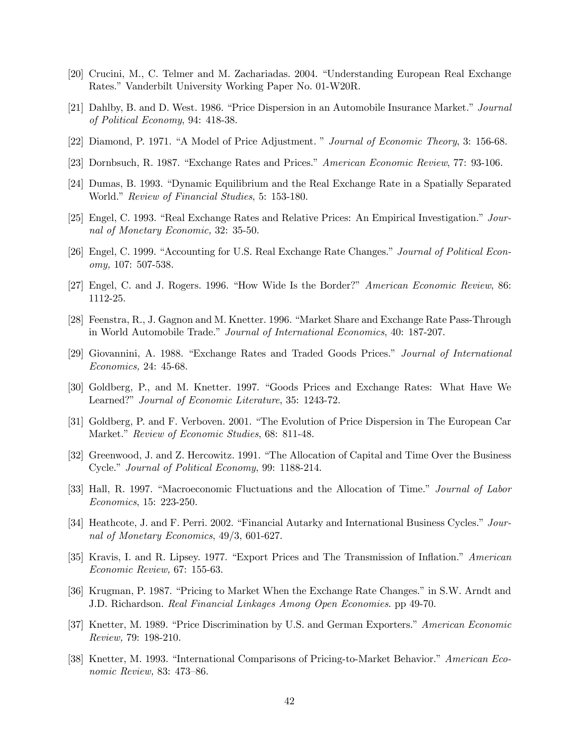- [20] Crucini, M., C. Telmer and M. Zachariadas. 2004. "Understanding European Real Exchange Rates." Vanderbilt University Working Paper No. 01-W20R.
- [21] Dahlby, B. and D. West. 1986. "Price Dispersion in an Automobile Insurance Market." Journal of Political Economy, 94: 418-38.
- [22] Diamond, P. 1971. "A Model of Price Adjustment. " Journal of Economic Theory, 3: 156-68.
- [23] Dornbsuch, R. 1987. "Exchange Rates and Prices." American Economic Review, 77: 93-106.
- [24] Dumas, B. 1993. "Dynamic Equilibrium and the Real Exchange Rate in a Spatially Separated World." Review of Financial Studies, 5: 153-180.
- [25] Engel, C. 1993. "Real Exchange Rates and Relative Prices: An Empirical Investigation." Journal of Monetary Economic, 32: 35-50.
- [26] Engel, C. 1999. "Accounting for U.S. Real Exchange Rate Changes." Journal of Political Economy, 107: 507-538.
- [27] Engel, C. and J. Rogers. 1996. "How Wide Is the Border?" American Economic Review, 86: 1112-25.
- [28] Feenstra, R., J. Gagnon and M. Knetter. 1996. "Market Share and Exchange Rate Pass-Through in World Automobile Trade." Journal of International Economics, 40: 187-207.
- [29] Giovannini, A. 1988. "Exchange Rates and Traded Goods Prices." Journal of International Economics, 24: 45-68.
- [30] Goldberg, P., and M. Knetter. 1997. "Goods Prices and Exchange Rates: What Have We Learned?" Journal of Economic Literature, 35: 1243-72.
- [31] Goldberg, P. and F. Verboven. 2001. "The Evolution of Price Dispersion in The European Car Market." Review of Economic Studies, 68: 811-48.
- [32] Greenwood, J. and Z. Hercowitz. 1991. "The Allocation of Capital and Time Over the Business Cycle." Journal of Political Economy, 99: 1188-214.
- [33] Hall, R. 1997. "Macroeconomic Fluctuations and the Allocation of Time." Journal of Labor Economics, 15: 223-250.
- [34] Heathcote, J. and F. Perri. 2002. "Financial Autarky and International Business Cycles." Journal of Monetary Economics, 49/3, 601-627.
- [35] Kravis, I. and R. Lipsey. 1977. "Export Prices and The Transmission of Inflation." American Economic Review, 67: 155-63.
- [36] Krugman, P. 1987. "Pricing to Market When the Exchange Rate Changes." in S.W. Arndt and J.D. Richardson. Real Financial Linkages Among Open Economies. pp 49-70.
- [37] Knetter, M. 1989. "Price Discrimination by U.S. and German Exporters." American Economic Review, 79: 198-210.
- [38] Knetter, M. 1993. "International Comparisons of Pricing-to-Market Behavior." American Economic Review, 83: 473—86.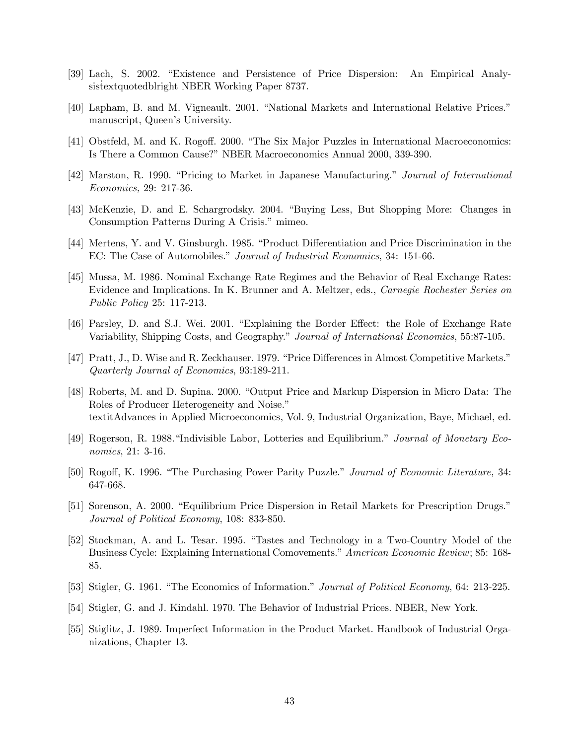- [39] Lach, S. 2002. "Existence and Persistence of Price Dispersion: An Empirical Analysistextquotedblright NBER Working Paper 8737.
- [40] Lapham, B. and M. Vigneault. 2001. "National Markets and International Relative Prices." manuscript, Queen's University.
- [41] Obstfeld, M. and K. Rogoff. 2000. "The Six Major Puzzles in International Macroeconomics: Is There a Common Cause?" NBER Macroeconomics Annual 2000, 339-390.
- [42] Marston, R. 1990. "Pricing to Market in Japanese Manufacturing." Journal of International Economics, 29: 217-36.
- [43] McKenzie, D. and E. Schargrodsky. 2004. "Buying Less, But Shopping More: Changes in Consumption Patterns During A Crisis." mimeo.
- [44] Mertens, Y. and V. Ginsburgh. 1985. "Product Differentiation and Price Discrimination in the EC: The Case of Automobiles." Journal of Industrial Economics, 34: 151-66.
- [45] Mussa, M. 1986. Nominal Exchange Rate Regimes and the Behavior of Real Exchange Rates: Evidence and Implications. In K. Brunner and A. Meltzer, eds., Carnegie Rochester Series on Public Policy 25: 117-213.
- [46] Parsley, D. and S.J. Wei. 2001. "Explaining the Border Effect: the Role of Exchange Rate Variability, Shipping Costs, and Geography." Journal of International Economics, 55:87-105.
- [47] Pratt, J., D. Wise and R. Zeckhauser. 1979. "Price Differences in Almost Competitive Markets." Quarterly Journal of Economics, 93:189-211.
- [48] Roberts, M. and D. Supina. 2000. "Output Price and Markup Dispersion in Micro Data: The Roles of Producer Heterogeneity and Noise." textitAdvances in Applied Microeconomics, Vol. 9, Industrial Organization, Baye, Michael, ed.
- [49] Rogerson, R. 1988."Indivisible Labor, Lotteries and Equilibrium." Journal of Monetary Economics, 21: 3-16.
- [50] Rogoff, K. 1996. "The Purchasing Power Parity Puzzle." Journal of Economic Literature, 34: 647-668.
- [51] Sorenson, A. 2000. "Equilibrium Price Dispersion in Retail Markets for Prescription Drugs." Journal of Political Economy, 108: 833-850.
- [52] Stockman, A. and L. Tesar. 1995. "Tastes and Technology in a Two-Country Model of the Business Cycle: Explaining International Comovements." American Economic Review; 85: 168- 85.
- [53] Stigler, G. 1961. "The Economics of Information." Journal of Political Economy, 64: 213-225.
- [54] Stigler, G. and J. Kindahl. 1970. The Behavior of Industrial Prices. NBER, New York.
- [55] Stiglitz, J. 1989. Imperfect Information in the Product Market. Handbook of Industrial Organizations, Chapter 13.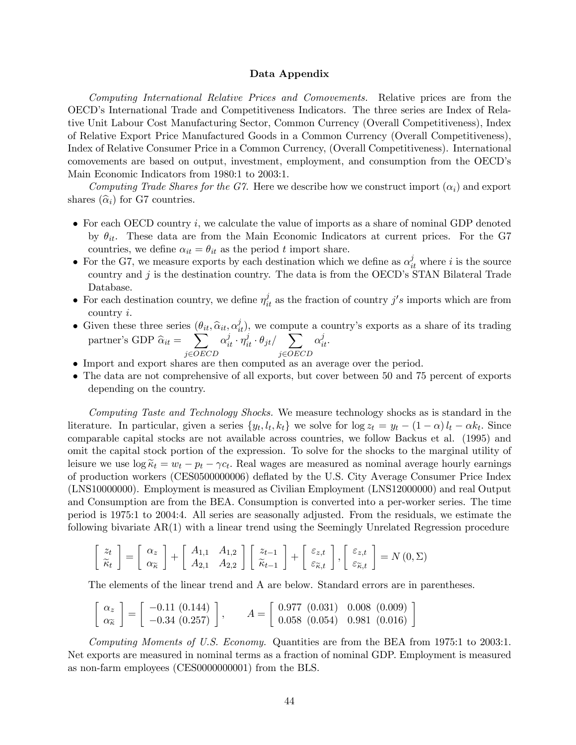#### Data Appendix

Computing International Relative Prices and Comovements. Relative prices are from the OECD's International Trade and Competitiveness Indicators. The three series are Index of Relative Unit Labour Cost Manufacturing Sector, Common Currency (Overall Competitiveness), Index of Relative Export Price Manufactured Goods in a Common Currency (Overall Competitiveness), Index of Relative Consumer Price in a Common Currency, (Overall Competitiveness). International comovements are based on output, investment, employment, and consumption from the OECD's Main Economic Indicators from 1980:1 to 2003:1.

Computing Trade Shares for the G7. Here we describe how we construct import  $(\alpha_i)$  and export shares  $(\widehat{\alpha}_i)$  for G7 countries.

- For each OECD country  $i$ , we calculate the value of imports as a share of nominal GDP denoted by  $\theta_{it}$ . These data are from the Main Economic Indicators at current prices. For the G7 countries, we define  $\alpha_{it} = \theta_{it}$  as the period t import share.
- For the G7, we measure exports by each destination which we define as  $\alpha_{it}^{j}$  where i is the source country and  $j$  is the destination country. The data is from the OECD's STAN Bilateral Trade Database.
- For each destination country, we define  $\eta_{it}^{j}$  as the fraction of country j's imports which are from country i.
- Given these three series  $(\theta_{it}, \hat{\alpha}_{it}, \alpha_{it}^j)$ , we compute a country's exports as a share of its trading partner's GDP  $\hat{\alpha}_{it} = \sum_{\alpha \in \mathcal{A}}$  $\alpha_{it}^j \cdot \eta_{it}^j \cdot \theta_{jt}/\quad \sum$  $\alpha_{it}^j$ .
- j∈OECD j∈OECD • Import and export shares are then computed as an average over the period.
- The data are not comprehensive of all exports, but cover between 50 and 75 percent of exports depending on the country.

Computing Taste and Technology Shocks. We measure technology shocks as is standard in the literature. In particular, given a series  $\{y_t, l_t, k_t\}$  we solve for  $\log z_t = y_t - (1 - \alpha) l_t - \alpha k_t$ . Since comparable capital stocks are not available across countries, we follow Backus et al. (1995) and omit the capital stock portion of the expression. To solve for the shocks to the marginal utility of leisure we use  $\log \tilde{\kappa}_t = w_t - p_t - \gamma c_t$ . Real wages are measured as nominal average hourly earnings of production workers (CES0500000006) deflated by the U.S. City Average Consumer Price Index (LNS10000000). Employment is measured as Civilian Employment (LNS12000000) and real Output and Consumption are from the BEA. Consumption is converted into a per-worker series. The time period is 1975:1 to 2004:4. All series are seasonally adjusted. From the residuals, we estimate the following bivariate AR(1) with a linear trend using the Seemingly Unrelated Regression procedure

$$
\begin{bmatrix} z_t \\ \widetilde{\kappa}_t \end{bmatrix} = \begin{bmatrix} \alpha_z \\ \alpha_{\widetilde{\kappa}} \end{bmatrix} + \begin{bmatrix} A_{1,1} & A_{1,2} \\ A_{2,1} & A_{2,2} \end{bmatrix} \begin{bmatrix} z_{t-1} \\ \widetilde{\kappa}_{t-1} \end{bmatrix} + \begin{bmatrix} \varepsilon_{z,t} \\ \varepsilon_{\widetilde{\kappa},t} \end{bmatrix}, \begin{bmatrix} \varepsilon_{z,t} \\ \varepsilon_{\widetilde{\kappa},t} \end{bmatrix} = N(0,\Sigma)
$$

The elements of the linear trend and A are below. Standard errors are in parentheses.

$$
\begin{bmatrix} \alpha_z \\ \alpha_{\tilde{\kappa}} \end{bmatrix} = \begin{bmatrix} -0.11 & (0.144) \\ -0.34 & (0.257) \end{bmatrix}, \qquad A = \begin{bmatrix} 0.977 & (0.031) & 0.008 & (0.009) \\ 0.058 & (0.054) & 0.981 & (0.016) \end{bmatrix}
$$

Computing Moments of U.S. Economy. Quantities are from the BEA from 1975:1 to 2003:1. Net exports are measured in nominal terms as a fraction of nominal GDP. Employment is measured as non-farm employees (CES0000000001) from the BLS.